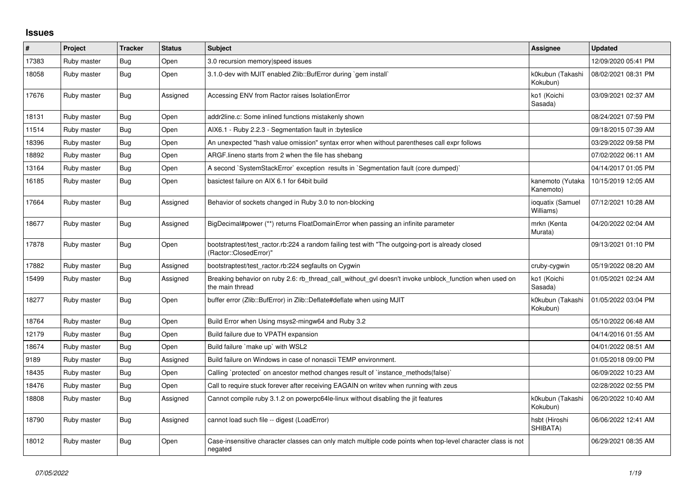## **Issues**

| #     | Project     | <b>Tracker</b> | <b>Status</b> | <b>Subject</b>                                                                                                             | Assignee                      | <b>Updated</b>      |
|-------|-------------|----------------|---------------|----------------------------------------------------------------------------------------------------------------------------|-------------------------------|---------------------|
| 17383 | Ruby master | Bug            | Open          | 3.0 recursion memory speed issues                                                                                          |                               | 12/09/2020 05:41 PM |
| 18058 | Ruby master | <b>Bug</b>     | Open          | 3.1.0-dev with MJIT enabled Zlib::BufError during `gem install`                                                            | k0kubun (Takashi<br>Kokubun)  | 08/02/2021 08:31 PM |
| 17676 | Ruby master | Bug            | Assigned      | Accessing ENV from Ractor raises IsolationError                                                                            | ko1 (Koichi<br>Sasada)        | 03/09/2021 02:37 AM |
| 18131 | Ruby master | Bug            | Open          | addr2line.c: Some inlined functions mistakenly shown                                                                       |                               | 08/24/2021 07:59 PM |
| 11514 | Ruby master | Bug            | Open          | AIX6.1 - Ruby 2.2.3 - Segmentation fault in : byteslice                                                                    |                               | 09/18/2015 07:39 AM |
| 18396 | Ruby master | <b>Bug</b>     | Open          | An unexpected "hash value omission" syntax error when without parentheses call expr follows                                |                               | 03/29/2022 09:58 PM |
| 18892 | Ruby master | <b>Bug</b>     | Open          | ARGF. lineno starts from 2 when the file has shebang                                                                       |                               | 07/02/2022 06:11 AM |
| 13164 | Ruby master | Bug            | Open          | A second `SystemStackError` exception results in `Segmentation fault (core dumped)`                                        |                               | 04/14/2017 01:05 PM |
| 16185 | Ruby master | Bug            | Open          | basictest failure on AIX 6.1 for 64bit build                                                                               | kanemoto (Yutaka<br>Kanemoto) | 10/15/2019 12:05 AM |
| 17664 | Ruby master | <b>Bug</b>     | Assigned      | Behavior of sockets changed in Ruby 3.0 to non-blocking                                                                    | ioquatix (Samuel<br>Williams) | 07/12/2021 10:28 AM |
| 18677 | Ruby master | Bug            | Assigned      | BigDecimal#power (**) returns FloatDomainError when passing an infinite parameter                                          | mrkn (Kenta<br>Murata)        | 04/20/2022 02:04 AM |
| 17878 | Ruby master | <b>Bug</b>     | Open          | bootstraptest/test_ractor.rb:224 a random failing test with "The outgoing-port is already closed<br>(Ractor::ClosedError)" |                               | 09/13/2021 01:10 PM |
| 17882 | Ruby master | <b>Bug</b>     | Assigned      | bootstraptest/test ractor.rb:224 segfaults on Cygwin                                                                       | cruby-cygwin                  | 05/19/2022 08:20 AM |
| 15499 | Ruby master | <b>Bug</b>     | Assigned      | Breaking behavior on ruby 2.6: rb_thread_call_without_gvl doesn't invoke unblock_function when used on<br>the main thread  | ko1 (Koichi<br>Sasada)        | 01/05/2021 02:24 AM |
| 18277 | Ruby master | Bug            | Open          | buffer error (Zlib::BufError) in Zlib::Deflate#deflate when using MJIT                                                     | k0kubun (Takashi<br>Kokubun)  | 01/05/2022 03:04 PM |
| 18764 | Ruby master | <b>Bug</b>     | Open          | Build Error when Using msys2-mingw64 and Ruby 3.2                                                                          |                               | 05/10/2022 06:48 AM |
| 12179 | Ruby master | Bug            | Open          | Build failure due to VPATH expansion                                                                                       |                               | 04/14/2016 01:55 AM |
| 18674 | Ruby master | Bug            | Open          | Build failure `make up` with WSL2                                                                                          |                               | 04/01/2022 08:51 AM |
| 9189  | Ruby master | Bug            | Assigned      | Build failure on Windows in case of nonascii TEMP environment.                                                             |                               | 01/05/2018 09:00 PM |
| 18435 | Ruby master | <b>Bug</b>     | Open          | Calling `protected` on ancestor method changes result of `instance_methods(false)`                                         |                               | 06/09/2022 10:23 AM |
| 18476 | Ruby master | <b>Bug</b>     | Open          | Call to require stuck forever after receiving EAGAIN on writev when running with zeus                                      |                               | 02/28/2022 02:55 PM |
| 18808 | Ruby master | <b>Bug</b>     | Assigned      | Cannot compile ruby 3.1.2 on powerpc64le-linux without disabling the jit features                                          | k0kubun (Takashi<br>Kokubun)  | 06/20/2022 10:40 AM |
| 18790 | Ruby master | Bug            | Assigned      | cannot load such file -- digest (LoadError)                                                                                | hsbt (Hiroshi<br>SHIBATA)     | 06/06/2022 12:41 AM |
| 18012 | Ruby master | <b>Bug</b>     | Open          | Case-insensitive character classes can only match multiple code points when top-level character class is not<br>negated    |                               | 06/29/2021 08:35 AM |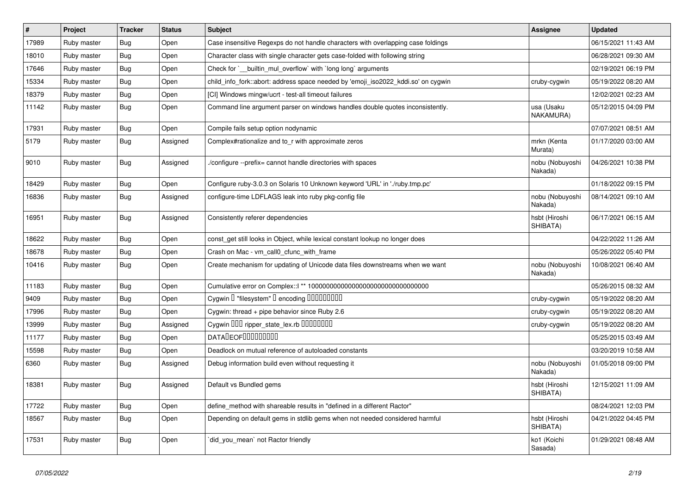| $\pmb{\#}$ | Project     | <b>Tracker</b> | <b>Status</b> | <b>Subject</b>                                                                    | <b>Assignee</b>            | <b>Updated</b>      |
|------------|-------------|----------------|---------------|-----------------------------------------------------------------------------------|----------------------------|---------------------|
| 17989      | Ruby master | Bug            | Open          | Case insensitive Regexps do not handle characters with overlapping case foldings  |                            | 06/15/2021 11:43 AM |
| 18010      | Ruby master | Bug            | Open          | Character class with single character gets case-folded with following string      |                            | 06/28/2021 09:30 AM |
| 17646      | Ruby master | Bug            | Open          | Check for `__builtin_mul_overflow` with `long long` arguments                     |                            | 02/19/2021 06:19 PM |
| 15334      | Ruby master | Bug            | Open          | child_info_fork::abort: address space needed by 'emoji_iso2022_kddi.so' on cygwin | cruby-cygwin               | 05/19/2022 08:20 AM |
| 18379      | Ruby master | Bug            | Open          | [CI] Windows mingw/ucrt - test-all timeout failures                               |                            | 12/02/2021 02:23 AM |
| 11142      | Ruby master | Bug            | Open          | Command line argument parser on windows handles double quotes inconsistently.     | usa (Usaku<br>NAKAMURA)    | 05/12/2015 04:09 PM |
| 17931      | Ruby master | Bug            | Open          | Compile fails setup option nodynamic                                              |                            | 07/07/2021 08:51 AM |
| 5179       | Ruby master | <b>Bug</b>     | Assigned      | Complex#rationalize and to r with approximate zeros                               | mrkn (Kenta<br>Murata)     | 01/17/2020 03:00 AM |
| 9010       | Ruby master | Bug            | Assigned      | /configure --prefix= cannot handle directories with spaces                        | nobu (Nobuyoshi<br>Nakada) | 04/26/2021 10:38 PM |
| 18429      | Ruby master | Bug            | Open          | Configure ruby-3.0.3 on Solaris 10 Unknown keyword 'URL' in './ruby.tmp.pc'       |                            | 01/18/2022 09:15 PM |
| 16836      | Ruby master | Bug            | Assigned      | configure-time LDFLAGS leak into ruby pkg-config file                             | nobu (Nobuyoshi<br>Nakada) | 08/14/2021 09:10 AM |
| 16951      | Ruby master | Bug            | Assigned      | Consistently referer dependencies                                                 | hsbt (Hiroshi<br>SHIBATA)  | 06/17/2021 06:15 AM |
| 18622      | Ruby master | Bug            | Open          | const_get still looks in Object, while lexical constant lookup no longer does     |                            | 04/22/2022 11:26 AM |
| 18678      | Ruby master | Bug            | Open          | Crash on Mac - vm_call0_cfunc_with_frame                                          |                            | 05/26/2022 05:40 PM |
| 10416      | Ruby master | Bug            | Open          | Create mechanism for updating of Unicode data files downstreams when we want      | nobu (Nobuyoshi<br>Nakada) | 10/08/2021 06:40 AM |
| 11183      | Ruby master | Bug            | Open          |                                                                                   |                            | 05/26/2015 08:32 AM |
| 9409       | Ruby master | Bug            | Open          | Cygwin I "filesystem" I encoding IIIIIIIIIIIII                                    | cruby-cygwin               | 05/19/2022 08:20 AM |
| 17996      | Ruby master | Bug            | Open          | Cygwin: thread + pipe behavior since Ruby 2.6                                     | cruby-cygwin               | 05/19/2022 08:20 AM |
| 13999      | Ruby master | Bug            | Assigned      | Cygwin DDD ripper_state_lex.rb DDDDDDDD                                           | cruby-cygwin               | 05/19/2022 08:20 AM |
| 11177      | Ruby master | Bug            | Open          | <b>DATALEOFILILILILILI</b>                                                        |                            | 05/25/2015 03:49 AM |
| 15598      | Ruby master | Bug            | Open          | Deadlock on mutual reference of autoloaded constants                              |                            | 03/20/2019 10:58 AM |
| 6360       | Ruby master | Bug            | Assigned      | Debug information build even without requesting it                                | nobu (Nobuyoshi<br>Nakada) | 01/05/2018 09:00 PM |
| 18381      | Ruby master | Bug            | Assigned      | Default vs Bundled gems                                                           | hsbt (Hiroshi<br>SHIBATA)  | 12/15/2021 11:09 AM |
| 17722      | Ruby master | Bug            | Open          | define_method with shareable results in "defined in a different Ractor"           |                            | 08/24/2021 12:03 PM |
| 18567      | Ruby master | Bug            | Open          | Depending on default gems in stdlib gems when not needed considered harmful       | hsbt (Hiroshi<br>SHIBATA)  | 04/21/2022 04:45 PM |
| 17531      | Ruby master | Bug            | Open          | did_you_mean` not Ractor friendly                                                 | ko1 (Koichi<br>Sasada)     | 01/29/2021 08:48 AM |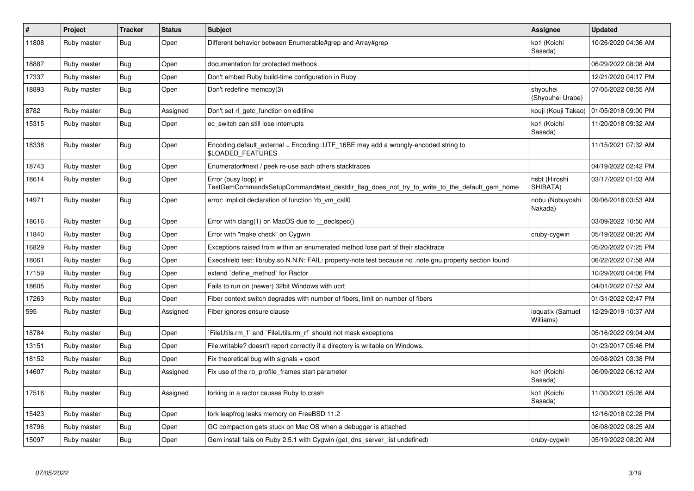| $\vert$ # | Project     | <b>Tracker</b> | <b>Status</b> | <b>Subject</b>                                                                                                      | Assignee                      | <b>Updated</b>      |
|-----------|-------------|----------------|---------------|---------------------------------------------------------------------------------------------------------------------|-------------------------------|---------------------|
| 11808     | Ruby master | Bug            | Open          | Different behavior between Enumerable#grep and Array#grep                                                           | ko1 (Koichi<br>Sasada)        | 10/26/2020 04:36 AM |
| 18887     | Ruby master | <b>Bug</b>     | Open          | documentation for protected methods                                                                                 |                               | 06/29/2022 08:08 AM |
| 17337     | Ruby master | Bug            | Open          | Don't embed Ruby build-time configuration in Ruby                                                                   |                               | 12/21/2020 04:17 PM |
| 18893     | Ruby master | Bug            | Open          | Don't redefine memcpy(3)                                                                                            | shyouhei<br>(Shyouhei Urabe)  | 07/05/2022 08:55 AM |
| 8782      | Ruby master | <b>Bug</b>     | Assigned      | Don't set rl getc function on editline                                                                              | kouji (Kouji Takao)           | 01/05/2018 09:00 PM |
| 15315     | Ruby master | Bug            | Open          | ec_switch can still lose interrupts                                                                                 | ko1 (Koichi<br>Sasada)        | 11/20/2018 09:32 AM |
| 18338     | Ruby master | Bug            | Open          | Encoding default external = $Encoding::UTF 16BE$ may add a wrongly-encoded string to<br>\$LOADED_FEATURES           |                               | 11/15/2021 07:32 AM |
| 18743     | Ruby master | Bug            | Open          | Enumerator#next / peek re-use each others stacktraces                                                               |                               | 04/19/2022 02:42 PM |
| 18614     | Ruby master | <b>Bug</b>     | Open          | Error (busy loop) in<br>TestGemCommandsSetupCommand#test_destdir_flag_does_not_try_to_write_to_the_default_gem_home | hsbt (Hiroshi<br>SHIBATA)     | 03/17/2022 01:03 AM |
| 14971     | Ruby master | Bug            | Open          | error: implicit declaration of function 'rb vm call0                                                                | nobu (Nobuyoshi<br>Nakada)    | 09/06/2018 03:53 AM |
| 18616     | Ruby master | Bug            | Open          | Error with clang(1) on MacOS due to __declspec()                                                                    |                               | 03/09/2022 10:50 AM |
| 11840     | Ruby master | <b>Bug</b>     | Open          | Error with "make check" on Cygwin                                                                                   | cruby-cygwin                  | 05/19/2022 08:20 AM |
| 16829     | Ruby master | <b>Bug</b>     | Open          | Exceptions raised from within an enumerated method lose part of their stacktrace                                    |                               | 05/20/2022 07:25 PM |
| 18061     | Ruby master | Bug            | Open          | Execshield test: libruby.so.N.N.N: FAIL: property-note test because no .note.gnu.property section found             |                               | 06/22/2022 07:58 AM |
| 17159     | Ruby master | <b>Bug</b>     | Open          | extend `define method` for Ractor                                                                                   |                               | 10/29/2020 04:06 PM |
| 18605     | Ruby master | Bug            | Open          | Fails to run on (newer) 32bit Windows with ucrt                                                                     |                               | 04/01/2022 07:52 AM |
| 17263     | Ruby master | Bug            | Open          | Fiber context switch degrades with number of fibers, limit on number of fibers                                      |                               | 01/31/2022 02:47 PM |
| 595       | Ruby master | <b>Bug</b>     | Assigned      | Fiber ignores ensure clause                                                                                         | ioquatix (Samuel<br>Williams) | 12/29/2019 10:37 AM |
| 18784     | Ruby master | Bug            | Open          | FileUtils.rm f and `FileUtils.rm rf should not mask exceptions                                                      |                               | 05/16/2022 09:04 AM |
| 13151     | Ruby master | Bug            | Open          | File writable? doesn't report correctly if a directory is writable on Windows.                                      |                               | 01/23/2017 05:46 PM |
| 18152     | Ruby master | <b>Bug</b>     | Open          | Fix theoretical bug with signals $+$ qsort                                                                          |                               | 09/08/2021 03:38 PM |
| 14607     | Ruby master | <b>Bug</b>     | Assigned      | Fix use of the rb_profile_frames start parameter                                                                    | ko1 (Koichi<br>Sasada)        | 06/09/2022 06:12 AM |
| 17516     | Ruby master | Bug            | Assigned      | forking in a ractor causes Ruby to crash                                                                            | ko1 (Koichi<br>Sasada)        | 11/30/2021 05:26 AM |
| 15423     | Ruby master | Bug            | Open          | fork leapfrog leaks memory on FreeBSD 11.2                                                                          |                               | 12/16/2018 02:28 PM |
| 18796     | Ruby master | <b>Bug</b>     | Open          | GC compaction gets stuck on Mac OS when a debugger is attached                                                      |                               | 06/08/2022 08:25 AM |
| 15097     | Ruby master | Bug            | Open          | Gem install fails on Ruby 2.5.1 with Cygwin (get_dns_server_list undefined)                                         | cruby-cygwin                  | 05/19/2022 08:20 AM |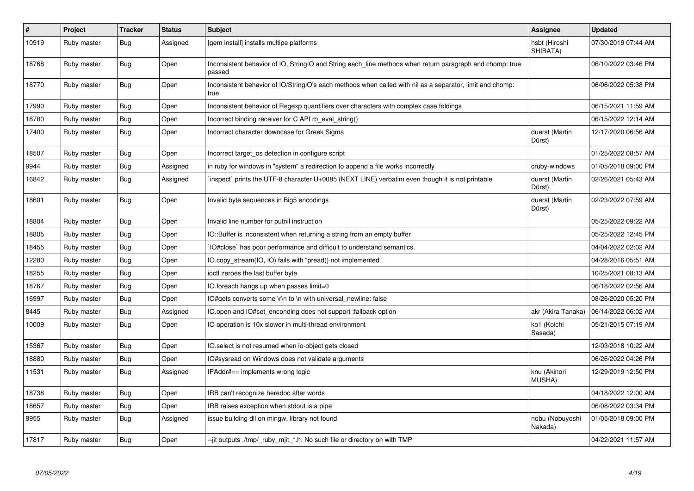| $\#$  | Project     | <b>Tracker</b> | <b>Status</b> | <b>Subject</b>                                                                                                     | Assignee                   | <b>Updated</b>      |
|-------|-------------|----------------|---------------|--------------------------------------------------------------------------------------------------------------------|----------------------------|---------------------|
| 10919 | Ruby master | Bug            | Assigned      | [gem install] installs multipe platforms                                                                           | hsbt (Hiroshi<br>SHIBATA)  | 07/30/2019 07:44 AM |
| 18768 | Ruby master | Bug            | Open          | Inconsistent behavior of IO, StringIO and String each_line methods when return paragraph and chomp: true<br>passed |                            | 06/10/2022 03:46 PM |
| 18770 | Ruby master | <b>Bug</b>     | Open          | Inconsistent behavior of IO/StringIO's each methods when called with nil as a separator, limit and chomp:<br>true  |                            | 06/06/2022 05:38 PM |
| 17990 | Ruby master | <b>Bug</b>     | Open          | Inconsistent behavior of Regexp quantifiers over characters with complex case foldings                             |                            | 06/15/2021 11:59 AM |
| 18780 | Ruby master | <b>Bug</b>     | Open          | Incorrect binding receiver for C API rb_eval_string()                                                              |                            | 06/15/2022 12:14 AM |
| 17400 | Ruby master | <b>Bug</b>     | Open          | Incorrect character downcase for Greek Sigma                                                                       | duerst (Martin<br>Dürst)   | 12/17/2020 06:56 AM |
| 18507 | Ruby master | <b>Bug</b>     | Open          | Incorrect target_os detection in configure script                                                                  |                            | 01/25/2022 08:57 AM |
| 9944  | Ruby master | Bug            | Assigned      | in ruby for windows in "system" a redirection to append a file works incorrectly                                   | cruby-windows              | 01/05/2018 09:00 PM |
| 16842 | Ruby master | Bug            | Assigned      | inspect` prints the UTF-8 character U+0085 (NEXT LINE) verbatim even though it is not printable                    | duerst (Martin<br>Dürst)   | 02/26/2021 05:43 AM |
| 18601 | Ruby master | <b>Bug</b>     | Open          | Invalid byte sequences in Big5 encodings                                                                           | duerst (Martin<br>Dürst)   | 02/23/2022 07:59 AM |
| 18804 | Ruby master | <b>Bug</b>     | Open          | Invalid line number for putnil instruction                                                                         |                            | 05/25/2022 09:22 AM |
| 18805 | Ruby master | Bug            | Open          | IO::Buffer is inconsistent when returning a string from an empty buffer                                            |                            | 05/25/2022 12:45 PM |
| 18455 | Ruby master | Bug            | Open          | IO#close` has poor performance and difficult to understand semantics.                                              |                            | 04/04/2022 02:02 AM |
| 12280 | Ruby master | <b>Bug</b>     | Open          | IO.copy_stream(IO, IO) fails with "pread() not implemented"                                                        |                            | 04/28/2016 05:51 AM |
| 18255 | Ruby master | <b>Bug</b>     | Open          | ioctl zeroes the last buffer byte                                                                                  |                            | 10/25/2021 08:13 AM |
| 18767 | Ruby master | Bug            | Open          | IO.foreach hangs up when passes limit=0                                                                            |                            | 06/18/2022 02:56 AM |
| 16997 | Ruby master | <b>Bug</b>     | Open          | IO#gets converts some \r\n to \n with universal_newline: false                                                     |                            | 08/26/2020 05:20 PM |
| 8445  | Ruby master | Bug            | Assigned      | IO.open and IO#set_enconding does not support :fallback option                                                     | akr (Akira Tanaka)         | 06/14/2022 06:02 AM |
| 10009 | Ruby master | <b>Bug</b>     | Open          | IO operation is 10x slower in multi-thread environment                                                             | ko1 (Koichi<br>Sasada)     | 05/21/2015 07:19 AM |
| 15367 | Ruby master | <b>Bug</b>     | Open          | IO select is not resumed when io-object gets closed                                                                |                            | 12/03/2018 10:22 AM |
| 18880 | Ruby master | <b>Bug</b>     | Open          | IO#sysread on Windows does not validate arguments                                                                  |                            | 06/26/2022 04:26 PM |
| 11531 | Ruby master | Bug            | Assigned      | IPAddr#== implements wrong logic                                                                                   | knu (Akinori<br>MUSHA)     | 12/29/2019 12:50 PM |
| 18738 | Ruby master | <b>Bug</b>     | Open          | IRB can't recognize heredoc after words                                                                            |                            | 04/18/2022 12:00 AM |
| 18657 | Ruby master | Bug            | Open          | IRB raises exception when stdout is a pipe                                                                         |                            | 06/08/2022 03:34 PM |
| 9955  | Ruby master | Bug            | Assigned      | issue building dll on mingw, library not found                                                                     | nobu (Nobuyoshi<br>Nakada) | 01/05/2018 09:00 PM |
| 17817 | Ruby master | Bug            | Open          | -jit outputs ./tmp/_ruby_mjit_*.h: No such file or directory on with TMP                                           |                            | 04/22/2021 11:57 AM |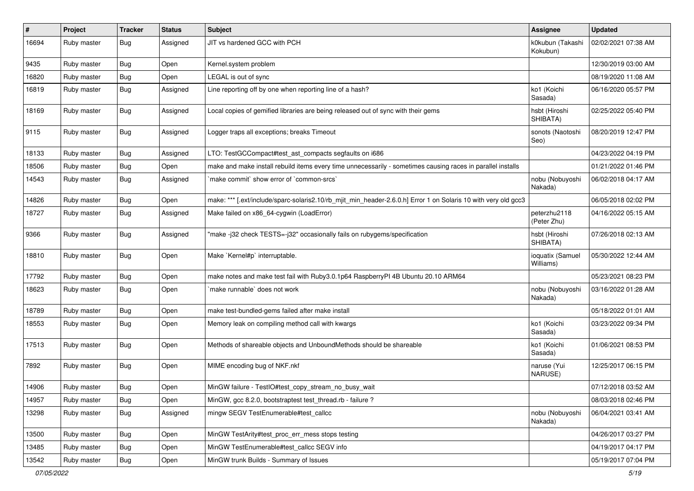| #     | Project     | <b>Tracker</b> | <b>Status</b> | <b>Subject</b>                                                                                                 | <b>Assignee</b>               | <b>Updated</b>      |
|-------|-------------|----------------|---------------|----------------------------------------------------------------------------------------------------------------|-------------------------------|---------------------|
| 16694 | Ruby master | <b>Bug</b>     | Assigned      | JIT vs hardened GCC with PCH                                                                                   | k0kubun (Takashi<br>Kokubun)  | 02/02/2021 07:38 AM |
| 9435  | Ruby master | <b>Bug</b>     | Open          | Kernel.system problem                                                                                          |                               | 12/30/2019 03:00 AM |
| 16820 | Ruby master | <b>Bug</b>     | Open          | LEGAL is out of sync                                                                                           |                               | 08/19/2020 11:08 AM |
| 16819 | Ruby master | <b>Bug</b>     | Assigned      | Line reporting off by one when reporting line of a hash?                                                       | ko1 (Koichi<br>Sasada)        | 06/16/2020 05:57 PM |
| 18169 | Ruby master | <b>Bug</b>     | Assigned      | Local copies of gemified libraries are being released out of sync with their gems                              | hsbt (Hiroshi<br>SHIBATA)     | 02/25/2022 05:40 PM |
| 9115  | Ruby master | Bug            | Assigned      | Logger traps all exceptions; breaks Timeout                                                                    | sonots (Naotoshi<br>Seo)      | 08/20/2019 12:47 PM |
| 18133 | Ruby master | <b>Bug</b>     | Assigned      | LTO: TestGCCompact#test_ast_compacts segfaults on i686                                                         |                               | 04/23/2022 04:19 PM |
| 18506 | Ruby master | Bug            | Open          | make and make install rebuild items every time unnecessarily - sometimes causing races in parallel installs    |                               | 01/21/2022 01:46 PM |
| 14543 | Ruby master | <b>Bug</b>     | Assigned      | `make commit` show error of `common-srcs`                                                                      | nobu (Nobuyoshi<br>Nakada)    | 06/02/2018 04:17 AM |
| 14826 | Ruby master | Bug            | Open          | make: *** [.ext/include/sparc-solaris2.10/rb_mjit_min_header-2.6.0.h] Error 1 on Solaris 10 with very old gcc3 |                               | 06/05/2018 02:02 PM |
| 18727 | Ruby master | Bug            | Assigned      | Make failed on x86_64-cygwin (LoadError)                                                                       | peterzhu2118<br>(Peter Zhu)   | 04/16/2022 05:15 AM |
| 9366  | Ruby master | Bug            | Assigned      | "make -j32 check TESTS=-j32" occasionally fails on rubygems/specification                                      | hsbt (Hiroshi<br>SHIBATA)     | 07/26/2018 02:13 AM |
| 18810 | Ruby master | <b>Bug</b>     | Open          | Make `Kernel#p` interruptable.                                                                                 | ioquatix (Samuel<br>Williams) | 05/30/2022 12:44 AM |
| 17792 | Ruby master | <b>Bug</b>     | Open          | make notes and make test fail with Ruby3.0.1p64 RaspberryPI 4B Ubuntu 20.10 ARM64                              |                               | 05/23/2021 08:23 PM |
| 18623 | Ruby master | <b>Bug</b>     | Open          | make runnable` does not work                                                                                   | nobu (Nobuyoshi<br>Nakada)    | 03/16/2022 01:28 AM |
| 18789 | Ruby master | <b>Bug</b>     | Open          | make test-bundled-gems failed after make install                                                               |                               | 05/18/2022 01:01 AM |
| 18553 | Ruby master | <b>Bug</b>     | Open          | Memory leak on compiling method call with kwargs                                                               | ko1 (Koichi<br>Sasada)        | 03/23/2022 09:34 PM |
| 17513 | Ruby master | Bug            | Open          | Methods of shareable objects and UnboundMethods should be shareable                                            | ko1 (Koichi<br>Sasada)        | 01/06/2021 08:53 PM |
| 7892  | Ruby master | Bug            | Open          | MIME encoding bug of NKF.nkf                                                                                   | naruse (Yui<br>NARUSE)        | 12/25/2017 06:15 PM |
| 14906 | Ruby master | Bug            | Open          | MinGW failure - TestlO#test_copy_stream_no_busy_wait                                                           |                               | 07/12/2018 03:52 AM |
| 14957 | Ruby master | <b>Bug</b>     | Open          | MinGW, gcc 8.2.0, bootstraptest test_thread.rb - failure ?                                                     |                               | 08/03/2018 02:46 PM |
| 13298 | Ruby master | Bug            | Assigned      | mingw SEGV TestEnumerable#test_callcc                                                                          | nobu (Nobuyoshi<br>Nakada)    | 06/04/2021 03:41 AM |
| 13500 | Ruby master | Bug            | Open          | MinGW TestArity#test proc err mess stops testing                                                               |                               | 04/26/2017 03:27 PM |
| 13485 | Ruby master | <b>Bug</b>     | Open          | MinGW TestEnumerable#test_callcc SEGV info                                                                     |                               | 04/19/2017 04:17 PM |
| 13542 | Ruby master | <b>Bug</b>     | Open          | MinGW trunk Builds - Summary of Issues                                                                         |                               | 05/19/2017 07:04 PM |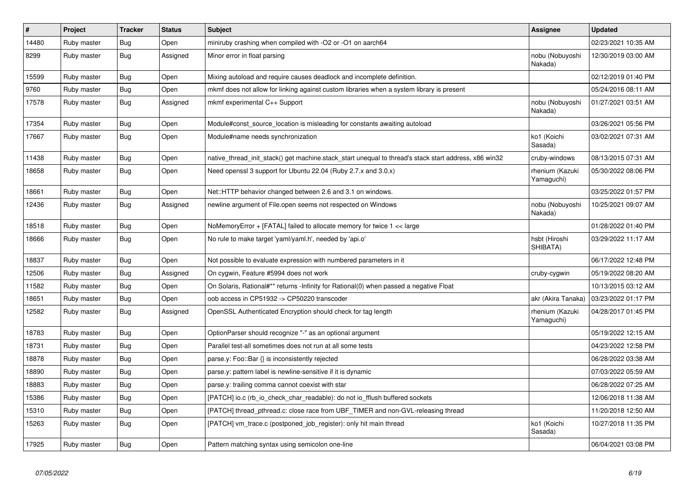| $\sharp$ | Project     | <b>Tracker</b> | <b>Status</b> | <b>Subject</b>                                                                                        | Assignee                      | <b>Updated</b>      |
|----------|-------------|----------------|---------------|-------------------------------------------------------------------------------------------------------|-------------------------------|---------------------|
| 14480    | Ruby master | Bug            | Open          | miniruby crashing when compiled with -O2 or -O1 on aarch64                                            |                               | 02/23/2021 10:35 AM |
| 8299     | Ruby master | Bug            | Assigned      | Minor error in float parsing                                                                          | nobu (Nobuyoshi<br>Nakada)    | 12/30/2019 03:00 AM |
| 15599    | Ruby master | Bug            | Open          | Mixing autoload and require causes deadlock and incomplete definition.                                |                               | 02/12/2019 01:40 PM |
| 9760     | Ruby master | <b>Bug</b>     | Open          | mkmf does not allow for linking against custom libraries when a system library is present             |                               | 05/24/2016 08:11 AM |
| 17578    | Ruby master | <b>Bug</b>     | Assigned      | mkmf experimental C++ Support                                                                         | nobu (Nobuyoshi<br>Nakada)    | 01/27/2021 03:51 AM |
| 17354    | Ruby master | Bug            | Open          | Module#const source location is misleading for constants awaiting autoload                            |                               | 03/26/2021 05:56 PM |
| 17667    | Ruby master | Bug            | Open          | Module#name needs synchronization                                                                     | ko1 (Koichi<br>Sasada)        | 03/02/2021 07:31 AM |
| 11438    | Ruby master | Bug            | Open          | native thread init stack() get machine stack start unequal to thread's stack start address, x86 win32 | cruby-windows                 | 08/13/2015 07:31 AM |
| 18658    | Ruby master | Bug            | Open          | Need openssl 3 support for Ubuntu 22.04 (Ruby 2.7.x and 3.0.x)                                        | rhenium (Kazuki<br>Yamaguchi) | 05/30/2022 08:06 PM |
| 18661    | Ruby master | <b>Bug</b>     | Open          | Net::HTTP behavior changed between 2.6 and 3.1 on windows.                                            |                               | 03/25/2022 01:57 PM |
| 12436    | Ruby master | Bug            | Assigned      | newline argument of File.open seems not respected on Windows                                          | nobu (Nobuyoshi<br>Nakada)    | 10/25/2021 09:07 AM |
| 18518    | Ruby master | Bug            | Open          | NoMemory Error $+$ [FATAL] failed to allocate memory for twice $1 <$ karge                            |                               | 01/28/2022 01:40 PM |
| 18666    | Ruby master | <b>Bug</b>     | Open          | No rule to make target 'yaml/yaml.h', needed by 'api.o'                                               | hsbt (Hiroshi<br>SHIBATA)     | 03/29/2022 11:17 AM |
| 18837    | Ruby master | Bug            | Open          | Not possible to evaluate expression with numbered parameters in it                                    |                               | 06/17/2022 12:48 PM |
| 12506    | Ruby master | <b>Bug</b>     | Assigned      | On cygwin, Feature #5994 does not work                                                                | cruby-cygwin                  | 05/19/2022 08:20 AM |
| 11582    | Ruby master | Bug            | Open          | On Solaris, Rational#** returns - Infinity for Rational(0) when passed a negative Float               |                               | 10/13/2015 03:12 AM |
| 18651    | Ruby master | <b>Bug</b>     | Open          | oob access in CP51932 -> CP50220 transcoder                                                           | akr (Akira Tanaka)            | 03/23/2022 01:17 PM |
| 12582    | Ruby master | Bug            | Assigned      | OpenSSL Authenticated Encryption should check for tag length                                          | rhenium (Kazuki<br>Yamaguchi) | 04/28/2017 01:45 PM |
| 18783    | Ruby master | <b>Bug</b>     | Open          | OptionParser should recognize "-" as an optional argument                                             |                               | 05/19/2022 12:15 AM |
| 18731    | Ruby master | <b>Bug</b>     | Open          | Parallel test-all sometimes does not run at all some tests                                            |                               | 04/23/2022 12:58 PM |
| 18878    | Ruby master | <b>Bug</b>     | Open          | parse.y: Foo::Bar {} is inconsistently rejected                                                       |                               | 06/28/2022 03:38 AM |
| 18890    | Ruby master | Bug            | Open          | parse.y: pattern label is newline-sensitive if it is dynamic                                          |                               | 07/03/2022 05:59 AM |
| 18883    | Ruby master | <b>Bug</b>     | Open          | parse.y: trailing comma cannot coexist with star                                                      |                               | 06/28/2022 07:25 AM |
| 15386    | Ruby master | Bug            | Open          | [PATCH] io.c (rb io check char readable): do not io fflush buffered sockets                           |                               | 12/06/2018 11:38 AM |
| 15310    | Ruby master | <b>Bug</b>     | Open          | [PATCH] thread_pthread.c: close race from UBF_TIMER and non-GVL-releasing thread                      |                               | 11/20/2018 12:50 AM |
| 15263    | Ruby master | Bug            | Open          | [PATCH] vm_trace.c (postponed_job_register): only hit main thread                                     | ko1 (Koichi<br>Sasada)        | 10/27/2018 11:35 PM |
| 17925    | Ruby master | Bug            | Open          | Pattern matching syntax using semicolon one-line                                                      |                               | 06/04/2021 03:08 PM |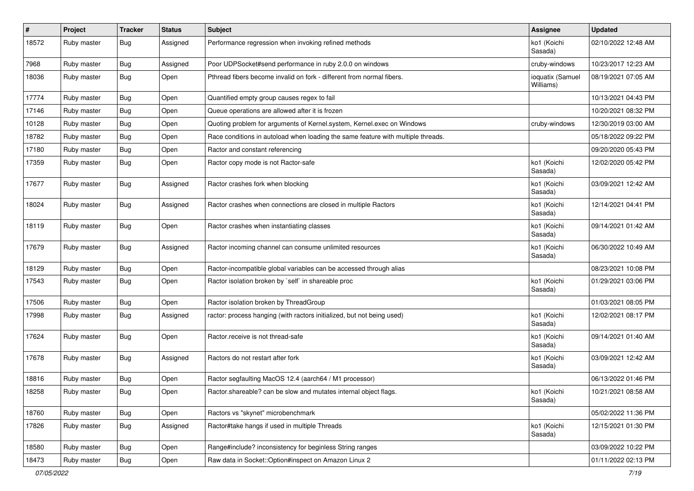| #     | Project     | <b>Tracker</b> | <b>Status</b> | <b>Subject</b>                                                                   | Assignee                      | <b>Updated</b>      |
|-------|-------------|----------------|---------------|----------------------------------------------------------------------------------|-------------------------------|---------------------|
| 18572 | Ruby master | <b>Bug</b>     | Assigned      | Performance regression when invoking refined methods                             | ko1 (Koichi<br>Sasada)        | 02/10/2022 12:48 AM |
| 7968  | Ruby master | <b>Bug</b>     | Assigned      | Poor UDPSocket#send performance in ruby 2.0.0 on windows                         | cruby-windows                 | 10/23/2017 12:23 AM |
| 18036 | Ruby master | Bug            | Open          | Pthread fibers become invalid on fork - different from normal fibers.            | ioquatix (Samuel<br>Williams) | 08/19/2021 07:05 AM |
| 17774 | Ruby master | <b>Bug</b>     | Open          | Quantified empty group causes regex to fail                                      |                               | 10/13/2021 04:43 PM |
| 17146 | Ruby master | <b>Bug</b>     | Open          | Queue operations are allowed after it is frozen                                  |                               | 10/20/2021 08:32 PM |
| 10128 | Ruby master | <b>Bug</b>     | Open          | Quoting problem for arguments of Kernel.system, Kernel.exec on Windows           | cruby-windows                 | 12/30/2019 03:00 AM |
| 18782 | Ruby master | <b>Bug</b>     | Open          | Race conditions in autoload when loading the same feature with multiple threads. |                               | 05/18/2022 09:22 PM |
| 17180 | Ruby master | Bug            | Open          | Ractor and constant referencing                                                  |                               | 09/20/2020 05:43 PM |
| 17359 | Ruby master | <b>Bug</b>     | Open          | Ractor copy mode is not Ractor-safe                                              | ko1 (Koichi<br>Sasada)        | 12/02/2020 05:42 PM |
| 17677 | Ruby master | <b>Bug</b>     | Assigned      | Ractor crashes fork when blocking                                                | ko1 (Koichi<br>Sasada)        | 03/09/2021 12:42 AM |
| 18024 | Ruby master | <b>Bug</b>     | Assigned      | Ractor crashes when connections are closed in multiple Ractors                   | ko1 (Koichi<br>Sasada)        | 12/14/2021 04:41 PM |
| 18119 | Ruby master | <b>Bug</b>     | Open          | Ractor crashes when instantiating classes                                        | ko1 (Koichi<br>Sasada)        | 09/14/2021 01:42 AM |
| 17679 | Ruby master | <b>Bug</b>     | Assigned      | Ractor incoming channel can consume unlimited resources                          | ko1 (Koichi<br>Sasada)        | 06/30/2022 10:49 AM |
| 18129 | Ruby master | <b>Bug</b>     | Open          | Ractor-incompatible global variables can be accessed through alias               |                               | 08/23/2021 10:08 PM |
| 17543 | Ruby master | <b>Bug</b>     | Open          | Ractor isolation broken by `self` in shareable proc                              | ko1 (Koichi<br>Sasada)        | 01/29/2021 03:06 PM |
| 17506 | Ruby master | <b>Bug</b>     | Open          | Ractor isolation broken by ThreadGroup                                           |                               | 01/03/2021 08:05 PM |
| 17998 | Ruby master | <b>Bug</b>     | Assigned      | ractor: process hanging (with ractors initialized, but not being used)           | ko1 (Koichi<br>Sasada)        | 12/02/2021 08:17 PM |
| 17624 | Ruby master | Bug            | Open          | Ractor.receive is not thread-safe                                                | ko1 (Koichi<br>Sasada)        | 09/14/2021 01:40 AM |
| 17678 | Ruby master | <b>Bug</b>     | Assigned      | Ractors do not restart after fork                                                | ko1 (Koichi<br>Sasada)        | 03/09/2021 12:42 AM |
| 18816 | Ruby master | <b>Bug</b>     | Open          | Ractor segfaulting MacOS 12.4 (aarch64 / M1 processor)                           |                               | 06/13/2022 01:46 PM |
| 18258 | Ruby master | Bug            | Open          | Ractor.shareable? can be slow and mutates internal object flags.                 | ko1 (Koichi<br>Sasada)        | 10/21/2021 08:58 AM |
| 18760 | Ruby master | <b>Bug</b>     | Open          | Ractors vs "skynet" microbenchmark                                               |                               | 05/02/2022 11:36 PM |
| 17826 | Ruby master | <b>Bug</b>     | Assigned      | Ractor#take hangs if used in multiple Threads                                    | ko1 (Koichi<br>Sasada)        | 12/15/2021 01:30 PM |
| 18580 | Ruby master | Bug            | Open          | Range#include? inconsistency for beginless String ranges                         |                               | 03/09/2022 10:22 PM |
| 18473 | Ruby master | <b>Bug</b>     | Open          | Raw data in Socket:: Option#inspect on Amazon Linux 2                            |                               | 01/11/2022 02:13 PM |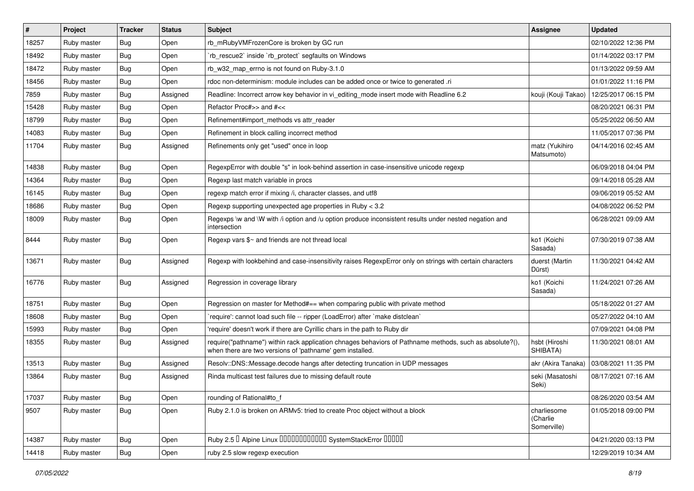| #     | Project     | <b>Tracker</b> | <b>Status</b> | Subject                                                                                                                                                             | <b>Assignee</b>                        | <b>Updated</b>      |
|-------|-------------|----------------|---------------|---------------------------------------------------------------------------------------------------------------------------------------------------------------------|----------------------------------------|---------------------|
| 18257 | Ruby master | <b>Bug</b>     | Open          | rb_mRubyVMFrozenCore is broken by GC run                                                                                                                            |                                        | 02/10/2022 12:36 PM |
| 18492 | Ruby master | <b>Bug</b>     | Open          | 'rb_rescue2' inside 'rb_protect' segfaults on Windows                                                                                                               |                                        | 01/14/2022 03:17 PM |
| 18472 | Ruby master | <b>Bug</b>     | Open          | rb_w32_map_errno is not found on Ruby-3.1.0                                                                                                                         |                                        | 01/13/2022 09:59 AM |
| 18456 | Ruby master | <b>Bug</b>     | Open          | rdoc non-determinism: module includes can be added once or twice to generated .ri                                                                                   |                                        | 01/01/2022 11:16 PM |
| 7859  | Ruby master | <b>Bug</b>     | Assigned      | Readline: Incorrect arrow key behavior in vi_editing_mode insert mode with Readline 6.2                                                                             | kouji (Kouji Takao)                    | 12/25/2017 06:15 PM |
| 15428 | Ruby master | <b>Bug</b>     | Open          | Refactor Proc#>> and #<<                                                                                                                                            |                                        | 08/20/2021 06:31 PM |
| 18799 | Ruby master | <b>Bug</b>     | Open          | Refinement#import methods vs attr reader                                                                                                                            |                                        | 05/25/2022 06:50 AM |
| 14083 | Ruby master | <b>Bug</b>     | Open          | Refinement in block calling incorrect method                                                                                                                        |                                        | 11/05/2017 07:36 PM |
| 11704 | Ruby master | <b>Bug</b>     | Assigned      | Refinements only get "used" once in loop                                                                                                                            | matz (Yukihiro<br>Matsumoto)           | 04/14/2016 02:45 AM |
| 14838 | Ruby master | Bug            | Open          | RegexpError with double "s" in look-behind assertion in case-insensitive unicode regexp                                                                             |                                        | 06/09/2018 04:04 PM |
| 14364 | Ruby master | <b>Bug</b>     | Open          | Regexp last match variable in procs                                                                                                                                 |                                        | 09/14/2018 05:28 AM |
| 16145 | Ruby master | <b>Bug</b>     | Open          | regexp match error if mixing /i, character classes, and utf8                                                                                                        |                                        | 09/06/2019 05:52 AM |
| 18686 | Ruby master | <b>Bug</b>     | Open          | Regexp supporting unexpected age properties in Ruby < 3.2                                                                                                           |                                        | 04/08/2022 06:52 PM |
| 18009 | Ruby master | <b>Bug</b>     | Open          | Regexps \w and \W with /i option and /u option produce inconsistent results under nested negation and<br>intersection                                               |                                        | 06/28/2021 09:09 AM |
| 8444  | Ruby master | Bug            | Open          | Regexp vars \$~ and friends are not thread local                                                                                                                    | ko1 (Koichi<br>Sasada)                 | 07/30/2019 07:38 AM |
| 13671 | Ruby master | <b>Bug</b>     | Assigned      | Regexp with lookbehind and case-insensitivity raises RegexpError only on strings with certain characters                                                            | duerst (Martin<br>Dürst)               | 11/30/2021 04:42 AM |
| 16776 | Ruby master | <b>Bug</b>     | Assigned      | Regression in coverage library                                                                                                                                      | ko1 (Koichi<br>Sasada)                 | 11/24/2021 07:26 AM |
| 18751 | Ruby master | <b>Bug</b>     | Open          | Regression on master for Method#== when comparing public with private method                                                                                        |                                        | 05/18/2022 01:27 AM |
| 18608 | Ruby master | <b>Bug</b>     | Open          | 'require': cannot load such file -- ripper (LoadError) after 'make distclean'                                                                                       |                                        | 05/27/2022 04:10 AM |
| 15993 | Ruby master | <b>Bug</b>     | Open          | 'require' doesn't work if there are Cyrillic chars in the path to Ruby dir                                                                                          |                                        | 07/09/2021 04:08 PM |
| 18355 | Ruby master | <b>Bug</b>     | Assigned      | require("pathname") within rack application chnages behaviors of Pathname methods, such as absolute?(),<br>when there are two versions of 'pathname' gem installed. | hsbt (Hiroshi<br>SHIBATA)              | 11/30/2021 08:01 AM |
| 13513 | Ruby master | <b>Bug</b>     | Assigned      | Resolv::DNS::Message.decode hangs after detecting truncation in UDP messages                                                                                        | akr (Akira Tanaka)                     | 03/08/2021 11:35 PM |
| 13864 | Ruby master | <b>Bug</b>     | Assigned      | Rinda multicast test failures due to missing default route                                                                                                          | seki (Masatoshi<br>Seki)               | 08/17/2021 07:16 AM |
| 17037 | Ruby master | Bug            | Open          | rounding of Rational#to_f                                                                                                                                           |                                        | 08/26/2020 03:54 AM |
| 9507  | Ruby master | <b>Bug</b>     | Open          | Ruby 2.1.0 is broken on ARMv5: tried to create Proc object without a block                                                                                          | charliesome<br>(Charlie<br>Somerville) | 01/05/2018 09:00 PM |
| 14387 | Ruby master | Bug            | Open          | Ruby 2.5 <sup>D</sup> Alpine Linux 000000000000 SystemStackError 00000                                                                                              |                                        | 04/21/2020 03:13 PM |
| 14418 | Ruby master | Bug            | Open          | ruby 2.5 slow regexp execution                                                                                                                                      |                                        | 12/29/2019 10:34 AM |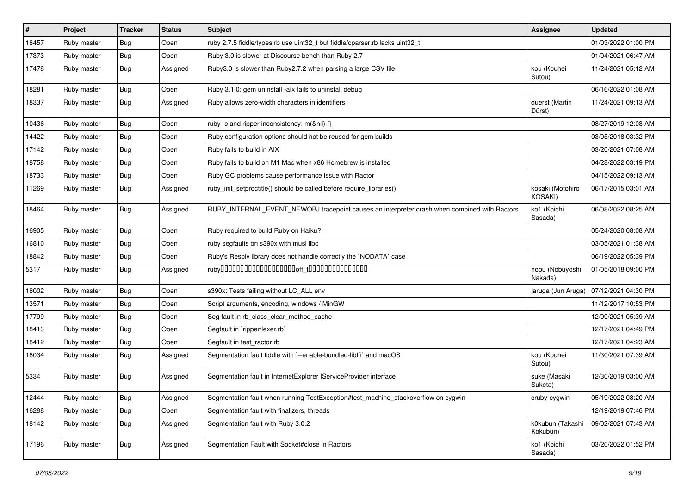| $\vert$ # | Project     | <b>Tracker</b> | <b>Status</b> | <b>Subject</b>                                                                               | <b>Assignee</b>              | <b>Updated</b>      |
|-----------|-------------|----------------|---------------|----------------------------------------------------------------------------------------------|------------------------------|---------------------|
| 18457     | Ruby master | <b>Bug</b>     | Open          | ruby 2.7.5 fiddle/types.rb use uint32_t but fiddle/cparser.rb lacks uint32_t                 |                              | 01/03/2022 01:00 PM |
| 17373     | Ruby master | <b>Bug</b>     | Open          | Ruby 3.0 is slower at Discourse bench than Ruby 2.7                                          |                              | 01/04/2021 06:47 AM |
| 17478     | Ruby master | Bug            | Assigned      | Ruby3.0 is slower than Ruby2.7.2 when parsing a large CSV file                               | kou (Kouhei<br>Sutou)        | 11/24/2021 05:12 AM |
| 18281     | Ruby master | <b>Bug</b>     | Open          | Ruby 3.1.0: gem uninstall -alx fails to uninstall debug                                      |                              | 06/16/2022 01:08 AM |
| 18337     | Ruby master | Bug            | Assigned      | Ruby allows zero-width characters in identifiers                                             | duerst (Martin<br>Dürst)     | 11/24/2021 09:13 AM |
| 10436     | Ruby master | Bug            | Open          | ruby -c and ripper inconsistency: m(&nil) {}                                                 |                              | 08/27/2019 12:08 AM |
| 14422     | Ruby master | <b>Bug</b>     | Open          | Ruby configuration options should not be reused for gem builds                               |                              | 03/05/2018 03:32 PM |
| 17142     | Ruby master | <b>Bug</b>     | Open          | Ruby fails to build in AIX                                                                   |                              | 03/20/2021 07:08 AM |
| 18758     | Ruby master | <b>Bug</b>     | Open          | Ruby fails to build on M1 Mac when x86 Homebrew is installed                                 |                              | 04/28/2022 03:19 PM |
| 18733     | Ruby master | <b>Bug</b>     | Open          | Ruby GC problems cause performance issue with Ractor                                         |                              | 04/15/2022 09:13 AM |
| 11269     | Ruby master | Bug            | Assigned      | ruby_init_setproctitle() should be called before require_libraries()                         | kosaki (Motohiro<br>KOSAKI)  | 06/17/2015 03:01 AM |
| 18464     | Ruby master | <b>Bug</b>     | Assigned      | RUBY_INTERNAL_EVENT_NEWOBJ tracepoint causes an interpreter crash when combined with Ractors | ko1 (Koichi<br>Sasada)       | 06/08/2022 08:25 AM |
| 16905     | Ruby master | <b>Bug</b>     | Open          | Ruby required to build Ruby on Haiku?                                                        |                              | 05/24/2020 08:08 AM |
| 16810     | Ruby master | <b>Bug</b>     | Open          | ruby segfaults on s390x with musl libc                                                       |                              | 03/05/2021 01:38 AM |
| 18842     | Ruby master | <b>Bug</b>     | Open          | Ruby's Resolv library does not handle correctly the `NODATA` case                            |                              | 06/19/2022 05:39 PM |
| 5317      | Ruby master | <b>Bug</b>     | Assigned      |                                                                                              | nobu (Nobuyoshi<br>Nakada)   | 01/05/2018 09:00 PM |
| 18002     | Ruby master | <b>Bug</b>     | Open          | s390x: Tests failing without LC_ALL env                                                      | jaruga (Jun Aruga)           | 07/12/2021 04:30 PM |
| 13571     | Ruby master | Bug            | Open          | Script arguments, encoding, windows / MinGW                                                  |                              | 11/12/2017 10:53 PM |
| 17799     | Ruby master | <b>Bug</b>     | Open          | Seg fault in rb_class_clear_method_cache                                                     |                              | 12/09/2021 05:39 AM |
| 18413     | Ruby master | <b>Bug</b>     | Open          | Segfault in `ripper/lexer.rb`                                                                |                              | 12/17/2021 04:49 PM |
| 18412     | Ruby master | Bug            | Open          | Segfault in test_ractor.rb                                                                   |                              | 12/17/2021 04:23 AM |
| 18034     | Ruby master | <b>Bug</b>     | Assigned      | Segmentation fault fiddle with `--enable-bundled-libffi` and macOS                           | kou (Kouhei<br>Sutou)        | 11/30/2021 07:39 AM |
| 5334      | Ruby master | <b>Bug</b>     | Assigned      | Segmentation fault in InternetExplorer IServiceProvider interface                            | suke (Masaki<br>Suketa)      | 12/30/2019 03:00 AM |
| 12444     | Ruby master | I Bug          | Assigned      | Segmentation fault when running TestException#test_machine_stackoverflow on cygwin           | cruby-cygwin                 | 05/19/2022 08:20 AM |
| 16288     | Ruby master | <b>Bug</b>     | Open          | Segmentation fault with finalizers, threads                                                  |                              | 12/19/2019 07:46 PM |
| 18142     | Ruby master | Bug            | Assigned      | Segmentation fault with Ruby 3.0.2                                                           | k0kubun (Takashi<br>Kokubun) | 09/02/2021 07:43 AM |
| 17196     | Ruby master | <b>Bug</b>     | Assigned      | Segmentation Fault with Socket#close in Ractors                                              | ko1 (Koichi<br>Sasada)       | 03/20/2022 01:52 PM |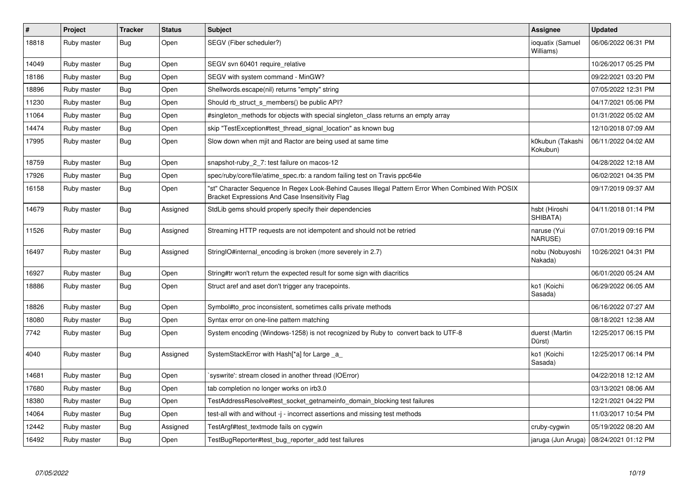| $\sharp$ | Project     | <b>Tracker</b> | <b>Status</b> | <b>Subject</b>                                                                                                                                        | Assignee                      | <b>Updated</b>      |
|----------|-------------|----------------|---------------|-------------------------------------------------------------------------------------------------------------------------------------------------------|-------------------------------|---------------------|
| 18818    | Ruby master | Bug            | Open          | SEGV (Fiber scheduler?)                                                                                                                               | ioquatix (Samuel<br>Williams) | 06/06/2022 06:31 PM |
| 14049    | Ruby master | Bug            | Open          | SEGV svn 60401 require relative                                                                                                                       |                               | 10/26/2017 05:25 PM |
| 18186    | Ruby master | Bug            | Open          | SEGV with system command - MinGW?                                                                                                                     |                               | 09/22/2021 03:20 PM |
| 18896    | Ruby master | <b>Bug</b>     | Open          | Shellwords.escape(nil) returns "empty" string                                                                                                         |                               | 07/05/2022 12:31 PM |
| 11230    | Ruby master | Bug            | Open          | Should rb struct s members() be public API?                                                                                                           |                               | 04/17/2021 05:06 PM |
| 11064    | Ruby master | <b>Bug</b>     | Open          | #singleton methods for objects with special singleton class returns an empty array                                                                    |                               | 01/31/2022 05:02 AM |
| 14474    | Ruby master | <b>Bug</b>     | Open          | skip "TestException#test_thread_signal_location" as known bug                                                                                         |                               | 12/10/2018 07:09 AM |
| 17995    | Ruby master | Bug            | Open          | Slow down when mjit and Ractor are being used at same time                                                                                            | k0kubun (Takashi<br>Kokubun)  | 06/11/2022 04:02 AM |
| 18759    | Ruby master | <b>Bug</b>     | Open          | snapshot-ruby_2_7: test failure on macos-12                                                                                                           |                               | 04/28/2022 12:18 AM |
| 17926    | Ruby master | <b>Bug</b>     | Open          | spec/ruby/core/file/atime spec.rb: a random failing test on Travis ppc64le                                                                            |                               | 06/02/2021 04:35 PM |
| 16158    | Ruby master | <b>Bug</b>     | Open          | "st" Character Sequence In Regex Look-Behind Causes Illegal Pattern Error When Combined With POSIX<br>Bracket Expressions And Case Insensitivity Flag |                               | 09/17/2019 09:37 AM |
| 14679    | Ruby master | Bug            | Assigned      | StdLib gems should properly specify their dependencies                                                                                                | hsbt (Hiroshi<br>SHIBATA)     | 04/11/2018 01:14 PM |
| 11526    | Ruby master | <b>Bug</b>     | Assigned      | Streaming HTTP requests are not idempotent and should not be retried                                                                                  | naruse (Yui<br>NARUSE)        | 07/01/2019 09:16 PM |
| 16497    | Ruby master | <b>Bug</b>     | Assigned      | StringIO#internal_encoding is broken (more severely in 2.7)                                                                                           | nobu (Nobuyoshi<br>Nakada)    | 10/26/2021 04:31 PM |
| 16927    | Ruby master | <b>Bug</b>     | Open          | String#tr won't return the expected result for some sign with diacritics                                                                              |                               | 06/01/2020 05:24 AM |
| 18886    | Ruby master | <b>Bug</b>     | Open          | Struct aref and aset don't trigger any tracepoints.                                                                                                   | ko1 (Koichi<br>Sasada)        | 06/29/2022 06:05 AM |
| 18826    | Ruby master | <b>Bug</b>     | Open          | Symbol#to_proc inconsistent, sometimes calls private methods                                                                                          |                               | 06/16/2022 07:27 AM |
| 18080    | Ruby master | <b>Bug</b>     | Open          | Syntax error on one-line pattern matching                                                                                                             |                               | 08/18/2021 12:38 AM |
| 7742     | Ruby master | Bug            | Open          | System encoding (Windows-1258) is not recognized by Ruby to convert back to UTF-8                                                                     | duerst (Martin<br>Dürst)      | 12/25/2017 06:15 PM |
| 4040     | Ruby master | <b>Bug</b>     | Assigned      | SystemStackError with Hash[*a] for Large _a_                                                                                                          | ko1 (Koichi<br>Sasada)        | 12/25/2017 06:14 PM |
| 14681    | Ruby master | <b>Bug</b>     | Open          | syswrite': stream closed in another thread (IOError)                                                                                                  |                               | 04/22/2018 12:12 AM |
| 17680    | Ruby master | Bug            | Open          | tab completion no longer works on irb3.0                                                                                                              |                               | 03/13/2021 08:06 AM |
| 18380    | Ruby master | <b>Bug</b>     | Open          | TestAddressResolve#test_socket_getnameinfo_domain_blocking test failures                                                                              |                               | 12/21/2021 04:22 PM |
| 14064    | Ruby master | Bug            | Open          | test-all with and without -j - incorrect assertions and missing test methods                                                                          |                               | 11/03/2017 10:54 PM |
| 12442    | Ruby master | Bug            | Assigned      | TestArgf#test textmode fails on cygwin                                                                                                                | cruby-cygwin                  | 05/19/2022 08:20 AM |
| 16492    | Ruby master | Bug            | Open          | TestBugReporter#test_bug_reporter_add test failures                                                                                                   | jaruga (Jun Aruga)            | 08/24/2021 01:12 PM |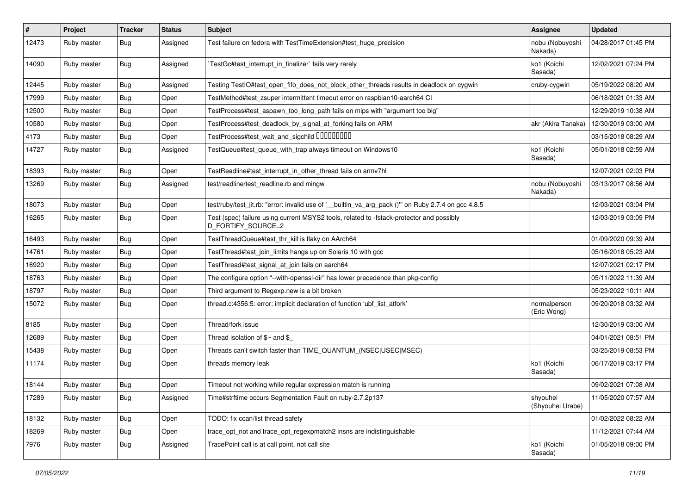| #     | Project     | <b>Tracker</b> | <b>Status</b> | <b>Subject</b>                                                                                                 | Assignee                     | <b>Updated</b>      |
|-------|-------------|----------------|---------------|----------------------------------------------------------------------------------------------------------------|------------------------------|---------------------|
| 12473 | Ruby master | <b>Bug</b>     | Assigned      | Test failure on fedora with TestTimeExtension#test_huge_precision                                              | nobu (Nobuyoshi<br>Nakada)   | 04/28/2017 01:45 PM |
| 14090 | Ruby master | Bug            | Assigned      | TestGc#test_interrupt_in_finalizer` fails very rarely                                                          | ko1 (Koichi<br>Sasada)       | 12/02/2021 07:24 PM |
| 12445 | Ruby master | Bug            | Assigned      | Testing TestlO#test_open_fifo_does_not_block_other_threads results in deadlock on cygwin                       | cruby-cygwin                 | 05/19/2022 08:20 AM |
| 17999 | Ruby master | <b>Bug</b>     | Open          | TestMethod#test zsuper intermittent timeout error on raspbian10-aarch64 CI                                     |                              | 06/18/2021 01:33 AM |
| 12500 | Ruby master | <b>Bug</b>     | Open          | TestProcess#test_aspawn_too_long_path fails on mips with "argument too big"                                    |                              | 12/29/2019 10:38 AM |
| 10580 | Ruby master | <b>Bug</b>     | Open          | TestProcess#test_deadlock_by_signal_at_forking fails on ARM                                                    | akr (Akira Tanaka)           | 12/30/2019 03:00 AM |
| 4173  | Ruby master | <b>Bug</b>     | Open          | TestProcess#test_wait_and_sigchild DDDDDDDD                                                                    |                              | 03/15/2018 08:29 AM |
| 14727 | Ruby master | Bug            | Assigned      | TestQueue#test_queue_with_trap always timeout on Windows10                                                     | ko1 (Koichi<br>Sasada)       | 05/01/2018 02:59 AM |
| 18393 | Ruby master | <b>Bug</b>     | Open          | TestReadline#test_interrupt_in_other_thread fails on armv7hl                                                   |                              | 12/07/2021 02:03 PM |
| 13269 | Ruby master | Bug            | Assigned      | test/readline/test_readline.rb and mingw                                                                       | nobu (Nobuyoshi<br>Nakada)   | 03/13/2017 08:56 AM |
| 18073 | Ruby master | Bug            | Open          | test/ruby/test_jit.rb: "error: invalid use of '__builtin_va_arg_pack ()" on Ruby 2.7.4 on gcc 4.8.5            |                              | 12/03/2021 03:04 PM |
| 16265 | Ruby master | Bug            | Open          | Test (spec) failure using current MSYS2 tools, related to -fstack-protector and possibly<br>D_FORTIFY_SOURCE=2 |                              | 12/03/2019 03:09 PM |
| 16493 | Ruby master | <b>Bug</b>     | Open          | TestThreadQueue#test_thr_kill is flaky on AArch64                                                              |                              | 01/09/2020 09:39 AM |
| 14761 | Ruby master | <b>Bug</b>     | Open          | TestThread#test_join_limits hangs up on Solaris 10 with gcc                                                    |                              | 05/16/2018 05:23 AM |
| 16920 | Ruby master | <b>Bug</b>     | Open          | TestThread#test_signal_at_join fails on aarch64                                                                |                              | 12/07/2021 02:17 PM |
| 18763 | Ruby master | <b>Bug</b>     | Open          | The configure option "--with-openssl-dir" has lower precedence than pkg-config                                 |                              | 05/11/2022 11:39 AM |
| 18797 | Ruby master | <b>Bug</b>     | Open          | Third argument to Regexp.new is a bit broken                                                                   |                              | 05/23/2022 10:11 AM |
| 15072 | Ruby master | <b>Bug</b>     | Open          | thread.c:4356:5: error: implicit declaration of function 'ubf list atfork'                                     | normalperson<br>(Eric Wong)  | 09/20/2018 03:32 AM |
| 8185  | Ruby master | Bug            | Open          | Thread/fork issue                                                                                              |                              | 12/30/2019 03:00 AM |
| 12689 | Ruby master | <b>Bug</b>     | Open          | Thread isolation of $$~$ and \$                                                                                |                              | 04/01/2021 08:51 PM |
| 15438 | Ruby master | <b>Bug</b>     | Open          | Threads can't switch faster than TIME QUANTUM (NSEC USEC MSEC)                                                 |                              | 03/25/2019 08:53 PM |
| 11174 | Ruby master | Bug            | Open          | threads memory leak                                                                                            | ko1 (Koichi<br>Sasada)       | 06/17/2019 03:17 PM |
| 18144 | Ruby master | Bug            | Open          | Timeout not working while regular expression match is running                                                  |                              | 09/02/2021 07:08 AM |
| 17289 | Ruby master | Bug            | Assigned      | Time#strftime occurs Segmentation Fault on ruby-2.7.2p137                                                      | shyouhei<br>(Shyouhei Urabe) | 11/05/2020 07:57 AM |
| 18132 | Ruby master | <b>Bug</b>     | Open          | TODO: fix ccan/list thread safety                                                                              |                              | 01/02/2022 08:22 AM |
| 18269 | Ruby master | <b>Bug</b>     | Open          | trace_opt_not and trace_opt_regexpmatch2 insns are indistinguishable                                           |                              | 11/12/2021 07:44 AM |
| 7976  | Ruby master | <b>Bug</b>     | Assigned      | TracePoint call is at call point, not call site                                                                | ko1 (Koichi<br>Sasada)       | 01/05/2018 09:00 PM |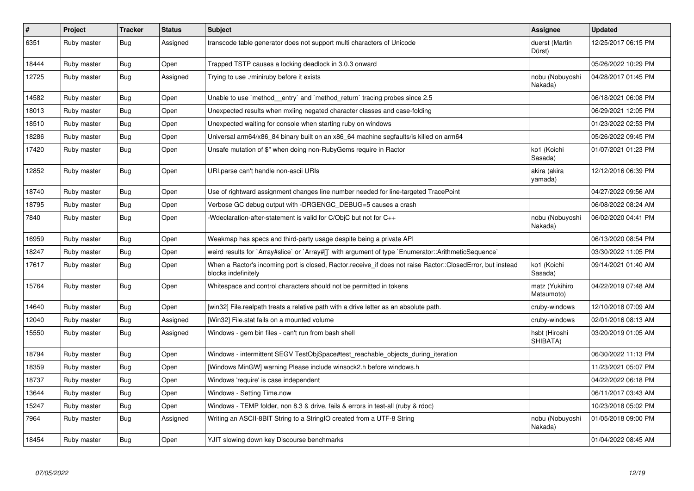| $\sharp$ | Project     | <b>Tracker</b> | <b>Status</b> | <b>Subject</b>                                                                                                                    | Assignee                     | <b>Updated</b>      |
|----------|-------------|----------------|---------------|-----------------------------------------------------------------------------------------------------------------------------------|------------------------------|---------------------|
| 6351     | Ruby master | <b>Bug</b>     | Assigned      | transcode table generator does not support multi characters of Unicode                                                            | duerst (Martin<br>Dürst)     | 12/25/2017 06:15 PM |
| 18444    | Ruby master | Bug            | Open          | Trapped TSTP causes a locking deadlock in 3.0.3 onward                                                                            |                              | 05/26/2022 10:29 PM |
| 12725    | Ruby master | <b>Bug</b>     | Assigned      | Trying to use ./miniruby before it exists                                                                                         | nobu (Nobuyoshi<br>Nakada)   | 04/28/2017 01:45 PM |
| 14582    | Ruby master | <b>Bug</b>     | Open          | Unable to use `method_entry` and `method_return` tracing probes since 2.5                                                         |                              | 06/18/2021 06:08 PM |
| 18013    | Ruby master | <b>Bug</b>     | Open          | Unexpected results when mxiing negated character classes and case-folding                                                         |                              | 06/29/2021 12:05 PM |
| 18510    | Ruby master | Bug            | Open          | Unexpected waiting for console when starting ruby on windows                                                                      |                              | 01/23/2022 02:53 PM |
| 18286    | Ruby master | <b>Bug</b>     | Open          | Universal arm64/x86_84 binary built on an x86_64 machine segfaults/is killed on arm64                                             |                              | 05/26/2022 09:45 PM |
| 17420    | Ruby master | <b>Bug</b>     | Open          | Unsafe mutation of \$" when doing non-RubyGems require in Ractor                                                                  | ko1 (Koichi<br>Sasada)       | 01/07/2021 01:23 PM |
| 12852    | Ruby master | <b>Bug</b>     | Open          | URI.parse can't handle non-ascii URIs                                                                                             | akira (akira<br>yamada)      | 12/12/2016 06:39 PM |
| 18740    | Ruby master | <b>Bug</b>     | Open          | Use of rightward assignment changes line number needed for line-targeted TracePoint                                               |                              | 04/27/2022 09:56 AM |
| 18795    | Ruby master | <b>Bug</b>     | Open          | Verbose GC debug output with -DRGENGC_DEBUG=5 causes a crash                                                                      |                              | 06/08/2022 08:24 AM |
| 7840     | Ruby master | <b>Bug</b>     | Open          | -Wdeclaration-after-statement is valid for C/ObjC but not for C++                                                                 | nobu (Nobuyoshi<br>Nakada)   | 06/02/2020 04:41 PM |
| 16959    | Ruby master | <b>Bug</b>     | Open          | Weakmap has specs and third-party usage despite being a private API                                                               |                              | 06/13/2020 08:54 PM |
| 18247    | Ruby master | <b>Bug</b>     | Open          | weird results for `Array#slice` or `Array#[]` with argument of type `Enumerator::ArithmeticSequence`                              |                              | 03/30/2022 11:05 PM |
| 17617    | Ruby master | <b>Bug</b>     | Open          | When a Ractor's incoming port is closed, Ractor.receive_if does not raise Ractor::ClosedError, but instead<br>blocks indefinitely | ko1 (Koichi<br>Sasada)       | 09/14/2021 01:40 AM |
| 15764    | Ruby master | <b>Bug</b>     | Open          | Whitespace and control characters should not be permitted in tokens                                                               | matz (Yukihiro<br>Matsumoto) | 04/22/2019 07:48 AM |
| 14640    | Ruby master | <b>Bug</b>     | Open          | [win32] File.realpath treats a relative path with a drive letter as an absolute path.                                             | cruby-windows                | 12/10/2018 07:09 AM |
| 12040    | Ruby master | <b>Bug</b>     | Assigned      | [Win32] File.stat fails on a mounted volume                                                                                       | cruby-windows                | 02/01/2016 08:13 AM |
| 15550    | Ruby master | Bug            | Assigned      | Windows - gem bin files - can't run from bash shell                                                                               | hsbt (Hiroshi<br>SHIBATA)    | 03/20/2019 01:05 AM |
| 18794    | Ruby master | Bug            | Open          | Windows - intermittent SEGV TestObjSpace#test_reachable_objects_during_iteration                                                  |                              | 06/30/2022 11:13 PM |
| 18359    | Ruby master | Bug            | Open          | [Windows MinGW] warning Please include winsock2.h before windows.h                                                                |                              | 11/23/2021 05:07 PM |
| 18737    | Ruby master | <b>Bug</b>     | Open          | Windows 'require' is case independent                                                                                             |                              | 04/22/2022 06:18 PM |
| 13644    | Ruby master | Bug            | Open          | Windows - Setting Time.now                                                                                                        |                              | 06/11/2017 03:43 AM |
| 15247    | Ruby master | <b>Bug</b>     | Open          | Windows - TEMP folder, non 8.3 & drive, fails & errors in test-all (ruby & rdoc)                                                  |                              | 10/23/2018 05:02 PM |
| 7964     | Ruby master | <b>Bug</b>     | Assigned      | Writing an ASCII-8BIT String to a StringIO created from a UTF-8 String                                                            | nobu (Nobuyoshi<br>Nakada)   | 01/05/2018 09:00 PM |
| 18454    | Ruby master | Bug            | Open          | YJIT slowing down key Discourse benchmarks                                                                                        |                              | 01/04/2022 08:45 AM |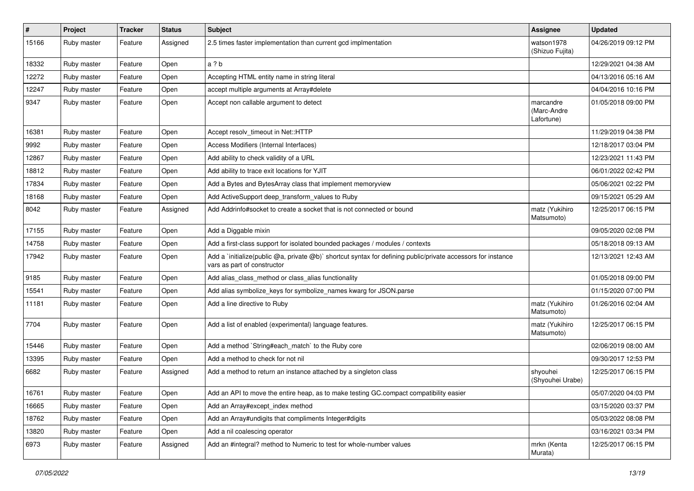| $\vert$ # | Project     | <b>Tracker</b> | <b>Status</b> | Subject                                                                                                                                     | <b>Assignee</b>                        | <b>Updated</b>      |
|-----------|-------------|----------------|---------------|---------------------------------------------------------------------------------------------------------------------------------------------|----------------------------------------|---------------------|
| 15166     | Ruby master | Feature        | Assigned      | 2.5 times faster implementation than current gcd implmentation                                                                              | watson1978<br>(Shizuo Fujita)          | 04/26/2019 09:12 PM |
| 18332     | Ruby master | Feature        | Open          | a ? b                                                                                                                                       |                                        | 12/29/2021 04:38 AM |
| 12272     | Ruby master | Feature        | Open          | Accepting HTML entity name in string literal                                                                                                |                                        | 04/13/2016 05:16 AM |
| 12247     | Ruby master | Feature        | Open          | accept multiple arguments at Array#delete                                                                                                   |                                        | 04/04/2016 10:16 PM |
| 9347      | Ruby master | Feature        | Open          | Accept non callable argument to detect                                                                                                      | marcandre<br>(Marc-Andre<br>Lafortune) | 01/05/2018 09:00 PM |
| 16381     | Ruby master | Feature        | Open          | Accept resolv timeout in Net::HTTP                                                                                                          |                                        | 11/29/2019 04:38 PM |
| 9992      | Ruby master | Feature        | Open          | Access Modifiers (Internal Interfaces)                                                                                                      |                                        | 12/18/2017 03:04 PM |
| 12867     | Ruby master | Feature        | Open          | Add ability to check validity of a URL                                                                                                      |                                        | 12/23/2021 11:43 PM |
| 18812     | Ruby master | Feature        | Open          | Add ability to trace exit locations for YJIT                                                                                                |                                        | 06/01/2022 02:42 PM |
| 17834     | Ruby master | Feature        | Open          | Add a Bytes and BytesArray class that implement memoryview                                                                                  |                                        | 05/06/2021 02:22 PM |
| 18168     | Ruby master | Feature        | Open          | Add ActiveSupport deep transform values to Ruby                                                                                             |                                        | 09/15/2021 05:29 AM |
| 8042      | Ruby master | Feature        | Assigned      | Add Addrinfo#socket to create a socket that is not connected or bound                                                                       | matz (Yukihiro<br>Matsumoto)           | 12/25/2017 06:15 PM |
| 17155     | Ruby master | Feature        | Open          | Add a Diggable mixin                                                                                                                        |                                        | 09/05/2020 02:08 PM |
| 14758     | Ruby master | Feature        | Open          | Add a first-class support for isolated bounded packages / modules / contexts                                                                |                                        | 05/18/2018 09:13 AM |
| 17942     | Ruby master | Feature        | Open          | Add a 'initialize(public @a, private @b)' shortcut syntax for defining public/private accessors for instance<br>vars as part of constructor |                                        | 12/13/2021 12:43 AM |
| 9185      | Ruby master | Feature        | Open          | Add alias_class_method or class_alias functionality                                                                                         |                                        | 01/05/2018 09:00 PM |
| 15541     | Ruby master | Feature        | Open          | Add alias symbolize keys for symbolize names kwarg for JSON.parse                                                                           |                                        | 01/15/2020 07:00 PM |
| 11181     | Ruby master | Feature        | Open          | Add a line directive to Ruby                                                                                                                | matz (Yukihiro<br>Matsumoto)           | 01/26/2016 02:04 AM |
| 7704      | Ruby master | Feature        | Open          | Add a list of enabled (experimental) language features.                                                                                     | matz (Yukihiro<br>Matsumoto)           | 12/25/2017 06:15 PM |
| 15446     | Ruby master | Feature        | Open          | Add a method `String#each_match` to the Ruby core                                                                                           |                                        | 02/06/2019 08:00 AM |
| 13395     | Ruby master | Feature        | Open          | Add a method to check for not nil                                                                                                           |                                        | 09/30/2017 12:53 PM |
| 6682      | Ruby master | Feature        | Assigned      | Add a method to return an instance attached by a singleton class                                                                            | shyouhei<br>(Shyouhei Urabe)           | 12/25/2017 06:15 PM |
| 16761     | Ruby master | Feature        | Open          | Add an API to move the entire heap, as to make testing GC.compact compatibility easier                                                      |                                        | 05/07/2020 04:03 PM |
| 16665     | Ruby master | Feature        | Open          | Add an Array#except index method                                                                                                            |                                        | 03/15/2020 03:37 PM |
| 18762     | Ruby master | Feature        | Open          | Add an Array#undigits that compliments Integer#digits                                                                                       |                                        | 05/03/2022 08:08 PM |
| 13820     | Ruby master | Feature        | Open          | Add a nil coalescing operator                                                                                                               |                                        | 03/16/2021 03:34 PM |
| 6973      | Ruby master | Feature        | Assigned      | Add an #integral? method to Numeric to test for whole-number values                                                                         | mrkn (Kenta<br>Murata)                 | 12/25/2017 06:15 PM |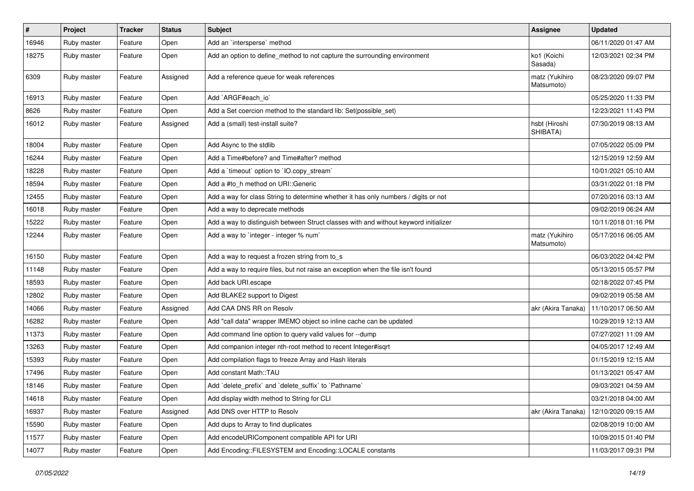| $\sharp$ | Project     | <b>Tracker</b> | <b>Status</b> | Subject                                                                              | Assignee                     | <b>Updated</b>      |
|----------|-------------|----------------|---------------|--------------------------------------------------------------------------------------|------------------------------|---------------------|
| 16946    | Ruby master | Feature        | Open          | Add an `intersperse` method                                                          |                              | 06/11/2020 01:47 AM |
| 18275    | Ruby master | Feature        | Open          | Add an option to define_method to not capture the surrounding environment            | ko1 (Koichi<br>Sasada)       | 12/03/2021 02:34 PM |
| 6309     | Ruby master | Feature        | Assigned      | Add a reference queue for weak references                                            | matz (Yukihiro<br>Matsumoto) | 08/23/2020 09:07 PM |
| 16913    | Ruby master | Feature        | Open          | Add `ARGF#each_io`                                                                   |                              | 05/25/2020 11:33 PM |
| 8626     | Ruby master | Feature        | Open          | Add a Set coercion method to the standard lib: Set(possible_set)                     |                              | 12/23/2021 11:43 PM |
| 16012    | Ruby master | Feature        | Assigned      | Add a (small) test-install suite?                                                    | hsbt (Hiroshi<br>SHIBATA)    | 07/30/2019 08:13 AM |
| 18004    | Ruby master | Feature        | Open          | Add Async to the stdlib                                                              |                              | 07/05/2022 05:09 PM |
| 16244    | Ruby master | Feature        | Open          | Add a Time#before? and Time#after? method                                            |                              | 12/15/2019 12:59 AM |
| 18228    | Ruby master | Feature        | Open          | Add a 'timeout' option to 'IO.copy_stream'                                           |                              | 10/01/2021 05:10 AM |
| 18594    | Ruby master | Feature        | Open          | Add a #to_h method on URI::Generic                                                   |                              | 03/31/2022 01:18 PM |
| 12455    | Ruby master | Feature        | Open          | Add a way for class String to determine whether it has only numbers / digits or not  |                              | 07/20/2016 03:13 AM |
| 16018    | Ruby master | Feature        | Open          | Add a way to deprecate methods                                                       |                              | 09/02/2019 06:24 AM |
| 15222    | Ruby master | Feature        | Open          | Add a way to distinguish between Struct classes with and without keyword initializer |                              | 10/11/2018 01:16 PM |
| 12244    | Ruby master | Feature        | Open          | Add a way to `integer - integer % num`                                               | matz (Yukihiro<br>Matsumoto) | 05/17/2016 06:05 AM |
| 16150    | Ruby master | Feature        | Open          | Add a way to request a frozen string from to_s                                       |                              | 06/03/2022 04:42 PM |
| 11148    | Ruby master | Feature        | Open          | Add a way to require files, but not raise an exception when the file isn't found     |                              | 05/13/2015 05:57 PM |
| 18593    | Ruby master | Feature        | Open          | Add back URI.escape                                                                  |                              | 02/18/2022 07:45 PM |
| 12802    | Ruby master | Feature        | Open          | Add BLAKE2 support to Digest                                                         |                              | 09/02/2019 05:58 AM |
| 14066    | Ruby master | Feature        | Assigned      | Add CAA DNS RR on Resolv                                                             | akr (Akira Tanaka)           | 11/10/2017 06:50 AM |
| 16282    | Ruby master | Feature        | Open          | Add "call data" wrapper IMEMO object so inline cache can be updated                  |                              | 10/29/2019 12:13 AM |
| 11373    | Ruby master | Feature        | Open          | Add command line option to query valid values for --dump                             |                              | 07/27/2021 11:09 AM |
| 13263    | Ruby master | Feature        | Open          | Add companion integer nth-root method to recent Integer#isqrt                        |                              | 04/05/2017 12:49 AM |
| 15393    | Ruby master | Feature        | Open          | Add compilation flags to freeze Array and Hash literals                              |                              | 01/15/2019 12:15 AM |
| 17496    | Ruby master | Feature        | Open          | Add constant Math::TAU                                                               |                              | 01/13/2021 05:47 AM |
| 18146    | Ruby master | Feature        | Open          | Add `delete_prefix` and `delete_suffix` to `Pathname`                                |                              | 09/03/2021 04:59 AM |
| 14618    | Ruby master | Feature        | Open          | Add display width method to String for CLI                                           |                              | 03/21/2018 04:00 AM |
| 16937    | Ruby master | Feature        | Assigned      | Add DNS over HTTP to Resolv                                                          | akr (Akira Tanaka)           | 12/10/2020 09:15 AM |
| 15590    | Ruby master | Feature        | Open          | Add dups to Array to find duplicates                                                 |                              | 02/08/2019 10:00 AM |
| 11577    | Ruby master | Feature        | Open          | Add encodeURIComponent compatible API for URI                                        |                              | 10/09/2015 01:40 PM |
| 14077    | Ruby master | Feature        | Open          | Add Encoding::FILESYSTEM and Encoding::LOCALE constants                              |                              | 11/03/2017 09:31 PM |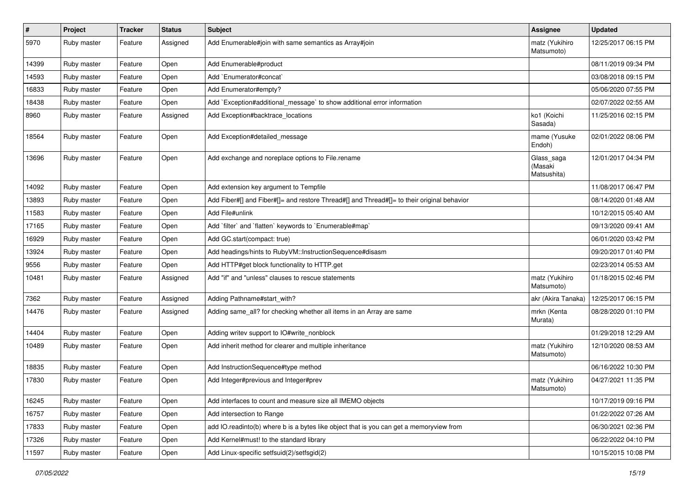| $\vert$ # | Project     | <b>Tracker</b> | <b>Status</b> | Subject                                                                                    | <b>Assignee</b>                      | <b>Updated</b>      |
|-----------|-------------|----------------|---------------|--------------------------------------------------------------------------------------------|--------------------------------------|---------------------|
| 5970      | Ruby master | Feature        | Assigned      | Add Enumerable#join with same semantics as Array#join                                      | matz (Yukihiro<br>Matsumoto)         | 12/25/2017 06:15 PM |
| 14399     | Ruby master | Feature        | Open          | Add Enumerable#product                                                                     |                                      | 08/11/2019 09:34 PM |
| 14593     | Ruby master | Feature        | Open          | Add `Enumerator#concat`                                                                    |                                      | 03/08/2018 09:15 PM |
| 16833     | Ruby master | Feature        | Open          | Add Enumerator#empty?                                                                      |                                      | 05/06/2020 07:55 PM |
| 18438     | Ruby master | Feature        | Open          | Add `Exception#additional_message` to show additional error information                    |                                      | 02/07/2022 02:55 AM |
| 8960      | Ruby master | Feature        | Assigned      | Add Exception#backtrace_locations                                                          | ko1 (Koichi<br>Sasada)               | 11/25/2016 02:15 PM |
| 18564     | Ruby master | Feature        | Open          | Add Exception#detailed_message                                                             | mame (Yusuke<br>Endoh)               | 02/01/2022 08:06 PM |
| 13696     | Ruby master | Feature        | Open          | Add exchange and noreplace options to File.rename                                          | Glass_saga<br>(Masaki<br>Matsushita) | 12/01/2017 04:34 PM |
| 14092     | Ruby master | Feature        | Open          | Add extension key argument to Tempfile                                                     |                                      | 11/08/2017 06:47 PM |
| 13893     | Ruby master | Feature        | Open          | Add Fiber#[] and Fiber#[]= and restore Thread#[] and Thread#[]= to their original behavior |                                      | 08/14/2020 01:48 AM |
| 11583     | Ruby master | Feature        | Open          | Add File#unlink                                                                            |                                      | 10/12/2015 05:40 AM |
| 17165     | Ruby master | Feature        | Open          | Add 'filter' and 'flatten' keywords to 'Enumerable#map'                                    |                                      | 09/13/2020 09:41 AM |
| 16929     | Ruby master | Feature        | Open          | Add GC.start(compact: true)                                                                |                                      | 06/01/2020 03:42 PM |
| 13924     | Ruby master | Feature        | Open          | Add headings/hints to RubyVM::InstructionSequence#disasm                                   |                                      | 09/20/2017 01:40 PM |
| 9556      | Ruby master | Feature        | Open          | Add HTTP#get block functionality to HTTP.get                                               |                                      | 02/23/2014 05:53 AM |
| 10481     | Ruby master | Feature        | Assigned      | Add "if" and "unless" clauses to rescue statements                                         | matz (Yukihiro<br>Matsumoto)         | 01/18/2015 02:46 PM |
| 7362      | Ruby master | Feature        | Assigned      | Adding Pathname#start_with?                                                                | akr (Akira Tanaka)                   | 12/25/2017 06:15 PM |
| 14476     | Ruby master | Feature        | Assigned      | Adding same_all? for checking whether all items in an Array are same                       | mrkn (Kenta<br>Murata)               | 08/28/2020 01:10 PM |
| 14404     | Ruby master | Feature        | Open          | Adding writev support to IO#write_nonblock                                                 |                                      | 01/29/2018 12:29 AM |
| 10489     | Ruby master | Feature        | Open          | Add inherit method for clearer and multiple inheritance                                    | matz (Yukihiro<br>Matsumoto)         | 12/10/2020 08:53 AM |
| 18835     | Ruby master | Feature        | Open          | Add InstructionSequence#type method                                                        |                                      | 06/16/2022 10:30 PM |
| 17830     | Ruby master | Feature        | Open          | Add Integer#previous and Integer#prev                                                      | matz (Yukihiro<br>Matsumoto)         | 04/27/2021 11:35 PM |
| 16245     | Ruby master | Feature        | Open          | Add interfaces to count and measure size all IMEMO objects                                 |                                      | 10/17/2019 09:16 PM |
| 16757     | Ruby master | Feature        | Open          | Add intersection to Range                                                                  |                                      | 01/22/2022 07:26 AM |
| 17833     | Ruby master | Feature        | Open          | add IO.readinto(b) where b is a bytes like object that is you can get a memoryview from    |                                      | 06/30/2021 02:36 PM |
| 17326     | Ruby master | Feature        | Open          | Add Kernel#must! to the standard library                                                   |                                      | 06/22/2022 04:10 PM |
| 11597     | Ruby master | Feature        | Open          | Add Linux-specific setfsuid(2)/setfsgid(2)                                                 |                                      | 10/15/2015 10:08 PM |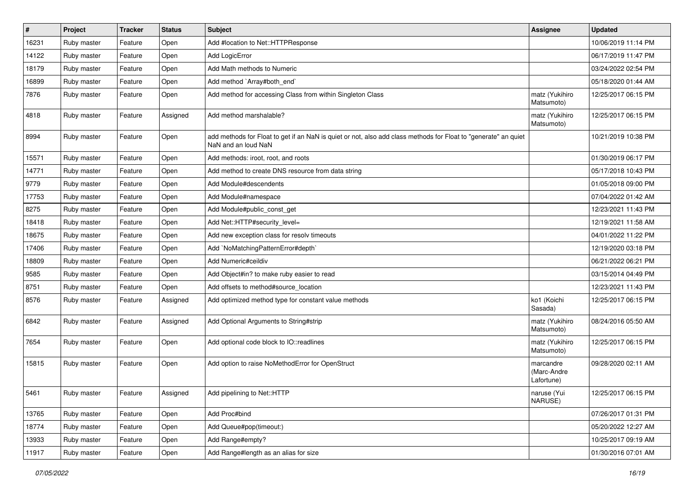| #     | Project     | <b>Tracker</b> | <b>Status</b> | Subject                                                                                                                                | <b>Assignee</b>                        | <b>Updated</b>      |
|-------|-------------|----------------|---------------|----------------------------------------------------------------------------------------------------------------------------------------|----------------------------------------|---------------------|
| 16231 | Ruby master | Feature        | Open          | Add #location to Net::HTTPResponse                                                                                                     |                                        | 10/06/2019 11:14 PM |
| 14122 | Ruby master | Feature        | Open          | Add LogicError                                                                                                                         |                                        | 06/17/2019 11:47 PM |
| 18179 | Ruby master | Feature        | Open          | Add Math methods to Numeric                                                                                                            |                                        | 03/24/2022 02:54 PM |
| 16899 | Ruby master | Feature        | Open          | Add method `Array#both_end`                                                                                                            |                                        | 05/18/2020 01:44 AM |
| 7876  | Ruby master | Feature        | Open          | Add method for accessing Class from within Singleton Class                                                                             | matz (Yukihiro<br>Matsumoto)           | 12/25/2017 06:15 PM |
| 4818  | Ruby master | Feature        | Assigned      | Add method marshalable?                                                                                                                | matz (Yukihiro<br>Matsumoto)           | 12/25/2017 06:15 PM |
| 8994  | Ruby master | Feature        | Open          | add methods for Float to get if an NaN is quiet or not, also add class methods for Float to "generate" an quiet<br>NaN and an loud NaN |                                        | 10/21/2019 10:38 PM |
| 15571 | Ruby master | Feature        | Open          | Add methods: iroot, root, and roots                                                                                                    |                                        | 01/30/2019 06:17 PM |
| 14771 | Ruby master | Feature        | Open          | Add method to create DNS resource from data string                                                                                     |                                        | 05/17/2018 10:43 PM |
| 9779  | Ruby master | Feature        | Open          | Add Module#descendents                                                                                                                 |                                        | 01/05/2018 09:00 PM |
| 17753 | Ruby master | Feature        | Open          | Add Module#namespace                                                                                                                   |                                        | 07/04/2022 01:42 AM |
| 8275  | Ruby master | Feature        | Open          | Add Module#public_const_get                                                                                                            |                                        | 12/23/2021 11:43 PM |
| 18418 | Ruby master | Feature        | Open          | Add Net::HTTP#security_level=                                                                                                          |                                        | 12/19/2021 11:58 AM |
| 18675 | Ruby master | Feature        | Open          | Add new exception class for resolv timeouts                                                                                            |                                        | 04/01/2022 11:22 PM |
| 17406 | Ruby master | Feature        | Open          | Add `NoMatchingPatternError#depth`                                                                                                     |                                        | 12/19/2020 03:18 PM |
| 18809 | Ruby master | Feature        | Open          | Add Numeric#ceildiv                                                                                                                    |                                        | 06/21/2022 06:21 PM |
| 9585  | Ruby master | Feature        | Open          | Add Object#in? to make ruby easier to read                                                                                             |                                        | 03/15/2014 04:49 PM |
| 8751  | Ruby master | Feature        | Open          | Add offsets to method#source_location                                                                                                  |                                        | 12/23/2021 11:43 PM |
| 8576  | Ruby master | Feature        | Assigned      | Add optimized method type for constant value methods                                                                                   | ko1 (Koichi<br>Sasada)                 | 12/25/2017 06:15 PM |
| 6842  | Ruby master | Feature        | Assigned      | Add Optional Arguments to String#strip                                                                                                 | matz (Yukihiro<br>Matsumoto)           | 08/24/2016 05:50 AM |
| 7654  | Ruby master | Feature        | Open          | Add optional code block to IO::readlines                                                                                               | matz (Yukihiro<br>Matsumoto)           | 12/25/2017 06:15 PM |
| 15815 | Ruby master | Feature        | Open          | Add option to raise NoMethodError for OpenStruct                                                                                       | marcandre<br>(Marc-Andre<br>Lafortune) | 09/28/2020 02:11 AM |
| 5461  | Ruby master | Feature        | Assigned      | Add pipelining to Net::HTTP                                                                                                            | naruse (Yui<br>NARUSE)                 | 12/25/2017 06:15 PM |
| 13765 | Ruby master | Feature        | Open          | Add Proc#bind                                                                                                                          |                                        | 07/26/2017 01:31 PM |
| 18774 | Ruby master | Feature        | Open          | Add Queue#pop(timeout:)                                                                                                                |                                        | 05/20/2022 12:27 AM |
| 13933 | Ruby master | Feature        | Open          | Add Range#empty?                                                                                                                       |                                        | 10/25/2017 09:19 AM |
| 11917 | Ruby master | Feature        | Open          | Add Range#length as an alias for size                                                                                                  |                                        | 01/30/2016 07:01 AM |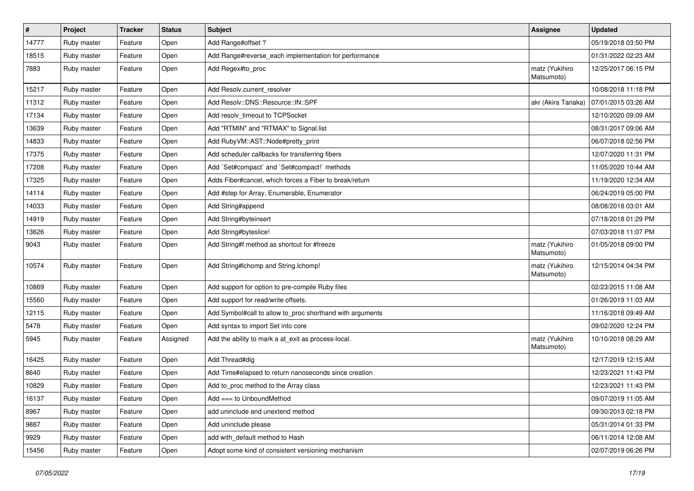| $\sharp$ | Project     | <b>Tracker</b> | <b>Status</b> | Subject                                                   | <b>Assignee</b>              | <b>Updated</b>      |
|----------|-------------|----------------|---------------|-----------------------------------------------------------|------------------------------|---------------------|
| 14777    | Ruby master | Feature        | Open          | Add Range#offset ?                                        |                              | 05/19/2018 03:50 PM |
| 18515    | Ruby master | Feature        | Open          | Add Range#reverse_each implementation for performance     |                              | 01/31/2022 02:23 AM |
| 7883     | Ruby master | Feature        | Open          | Add Regex#to_proc                                         | matz (Yukihiro<br>Matsumoto) | 12/25/2017 06:15 PM |
| 15217    | Ruby master | Feature        | Open          | Add Resolv.current_resolver                               |                              | 10/08/2018 11:18 PM |
| 11312    | Ruby master | Feature        | Open          | Add Resolv::DNS::Resource::IN::SPF                        | akr (Akira Tanaka)           | 07/01/2015 03:26 AM |
| 17134    | Ruby master | Feature        | Open          | Add resolv_timeout to TCPSocket                           |                              | 12/10/2020 09:09 AM |
| 13639    | Ruby master | Feature        | Open          | Add "RTMIN" and "RTMAX" to Signal.list                    |                              | 08/31/2017 09:06 AM |
| 14833    | Ruby master | Feature        | Open          | Add Ruby VM:: AST:: Node#pretty_print                     |                              | 06/07/2018 02:56 PM |
| 17375    | Ruby master | Feature        | Open          | Add scheduler callbacks for transferring fibers           |                              | 12/07/2020 11:31 PM |
| 17208    | Ruby master | Feature        | Open          | Add `Set#compact` and `Set#compact!` methods              |                              | 11/05/2020 10:44 AM |
| 17325    | Ruby master | Feature        | Open          | Adds Fiber#cancel, which forces a Fiber to break/return   |                              | 11/19/2020 12:34 AM |
| 14114    | Ruby master | Feature        | Open          | Add #step for Array, Enumerable, Enumerator               |                              | 06/24/2019 05:00 PM |
| 14033    | Ruby master | Feature        | Open          | Add String#append                                         |                              | 08/08/2018 03:01 AM |
| 14919    | Ruby master | Feature        | Open          | Add String#byteinsert                                     |                              | 07/18/2018 01:29 PM |
| 13626    | Ruby master | Feature        | Open          | Add String#byteslice!                                     |                              | 07/03/2018 11:07 PM |
| 9043     | Ruby master | Feature        | Open          | Add String#f method as shortcut for #freeze               | matz (Yukihiro<br>Matsumoto) | 01/05/2018 09:00 PM |
| 10574    | Ruby master | Feature        | Open          | Add String#Ichomp and String.Ichomp!                      | matz (Yukihiro<br>Matsumoto) | 12/15/2014 04:34 PM |
| 10869    | Ruby master | Feature        | Open          | Add support for option to pre-compile Ruby files          |                              | 02/23/2015 11:08 AM |
| 15560    | Ruby master | Feature        | Open          | Add support for read/write offsets.                       |                              | 01/26/2019 11:03 AM |
| 12115    | Ruby master | Feature        | Open          | Add Symbol#call to allow to_proc shorthand with arguments |                              | 11/16/2018 09:49 AM |
| 5478     | Ruby master | Feature        | Open          | Add syntax to import Set into core                        |                              | 09/02/2020 12:24 PM |
| 5945     | Ruby master | Feature        | Assigned      | Add the ability to mark a at_exit as process-local.       | matz (Yukihiro<br>Matsumoto) | 10/10/2018 08:29 AM |
| 16425    | Ruby master | Feature        | Open          | Add Thread#dig                                            |                              | 12/17/2019 12:15 AM |
| 8640     | Ruby master | Feature        | Open          | Add Time#elapsed to return nanoseconds since creation     |                              | 12/23/2021 11:43 PM |
| 10829    | Ruby master | Feature        | Open          | Add to_proc method to the Array class                     |                              | 12/23/2021 11:43 PM |
| 16137    | Ruby master | Feature        | Open          | Add === to UnboundMethod                                  |                              | 09/07/2019 11:05 AM |
| 8967     | Ruby master | Feature        | Open          | add uninclude and unextend method                         |                              | 09/30/2013 02:18 PM |
| 9887     | Ruby master | Feature        | Open          | Add uninclude please                                      |                              | 05/31/2014 01:33 PM |
| 9929     | Ruby master | Feature        | Open          | add with_default method to Hash                           |                              | 06/11/2014 12:08 AM |
| 15456    | Ruby master | Feature        | Open          | Adopt some kind of consistent versioning mechanism        |                              | 02/07/2019 06:26 PM |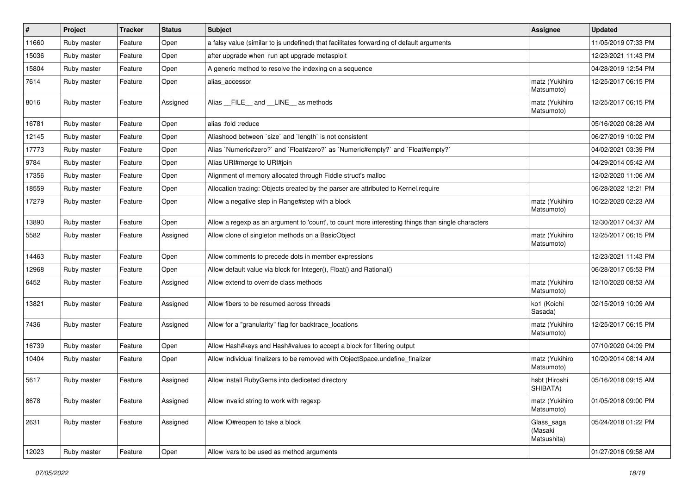| $\vert$ # | Project     | <b>Tracker</b> | <b>Status</b> | <b>Subject</b>                                                                                    | <b>Assignee</b>                      | <b>Updated</b>      |
|-----------|-------------|----------------|---------------|---------------------------------------------------------------------------------------------------|--------------------------------------|---------------------|
| 11660     | Ruby master | Feature        | Open          | a falsy value (similar to js undefined) that facilitates forwarding of default arguments          |                                      | 11/05/2019 07:33 PM |
| 15036     | Ruby master | Feature        | Open          | after upgrade when run apt upgrade metasploit                                                     |                                      | 12/23/2021 11:43 PM |
| 15804     | Ruby master | Feature        | Open          | A generic method to resolve the indexing on a sequence                                            |                                      | 04/28/2019 12:54 PM |
| 7614      | Ruby master | Feature        | Open          | alias_accessor                                                                                    | matz (Yukihiro<br>Matsumoto)         | 12/25/2017 06:15 PM |
| 8016      | Ruby master | Feature        | Assigned      | Alias FILE and LINE as methods                                                                    | matz (Yukihiro<br>Matsumoto)         | 12/25/2017 06:15 PM |
| 16781     | Ruby master | Feature        | Open          | alias :fold :reduce                                                                               |                                      | 05/16/2020 08:28 AM |
| 12145     | Ruby master | Feature        | Open          | Aliashood between 'size' and 'length' is not consistent                                           |                                      | 06/27/2019 10:02 PM |
| 17773     | Ruby master | Feature        | Open          | Alias `Numeric#zero?` and `Float#zero?` as `Numeric#empty?` and `Float#empty?`                    |                                      | 04/02/2021 03:39 PM |
| 9784      | Ruby master | Feature        | Open          | Alias URI#merge to URI#join                                                                       |                                      | 04/29/2014 05:42 AM |
| 17356     | Ruby master | Feature        | Open          | Alignment of memory allocated through Fiddle struct's malloc                                      |                                      | 12/02/2020 11:06 AM |
| 18559     | Ruby master | Feature        | Open          | Allocation tracing: Objects created by the parser are attributed to Kernel.require                |                                      | 06/28/2022 12:21 PM |
| 17279     | Ruby master | Feature        | Open          | Allow a negative step in Range#step with a block                                                  | matz (Yukihiro<br>Matsumoto)         | 10/22/2020 02:23 AM |
| 13890     | Ruby master | Feature        | Open          | Allow a regexp as an argument to 'count', to count more interesting things than single characters |                                      | 12/30/2017 04:37 AM |
| 5582      | Ruby master | Feature        | Assigned      | Allow clone of singleton methods on a BasicObject                                                 | matz (Yukihiro<br>Matsumoto)         | 12/25/2017 06:15 PM |
| 14463     | Ruby master | Feature        | Open          | Allow comments to precede dots in member expressions                                              |                                      | 12/23/2021 11:43 PM |
| 12968     | Ruby master | Feature        | Open          | Allow default value via block for Integer(), Float() and Rational()                               |                                      | 06/28/2017 05:53 PM |
| 6452      | Ruby master | Feature        | Assigned      | Allow extend to override class methods                                                            | matz (Yukihiro<br>Matsumoto)         | 12/10/2020 08:53 AM |
| 13821     | Ruby master | Feature        | Assigned      | Allow fibers to be resumed across threads                                                         | ko1 (Koichi<br>Sasada)               | 02/15/2019 10:09 AM |
| 7436      | Ruby master | Feature        | Assigned      | Allow for a "granularity" flag for backtrace_locations                                            | matz (Yukihiro<br>Matsumoto)         | 12/25/2017 06:15 PM |
| 16739     | Ruby master | Feature        | Open          | Allow Hash#keys and Hash#values to accept a block for filtering output                            |                                      | 07/10/2020 04:09 PM |
| 10404     | Ruby master | Feature        | Open          | Allow individual finalizers to be removed with ObjectSpace.undefine_finalizer                     | matz (Yukihiro<br>Matsumoto)         | 10/20/2014 08:14 AM |
| 5617      | Ruby master | Feature        | Assigned      | Allow install RubyGems into dediceted directory                                                   | hsbt (Hiroshi<br>SHIBATA)            | 05/16/2018 09:15 AM |
| 8678      | Ruby master | Feature        | Assigned      | Allow invalid string to work with regexp                                                          | matz (Yukihiro<br>Matsumoto)         | 01/05/2018 09:00 PM |
| 2631      | Ruby master | Feature        | Assigned      | Allow IO#reopen to take a block                                                                   | Glass_saga<br>(Masaki<br>Matsushita) | 05/24/2018 01:22 PM |
| 12023     | Ruby master | Feature        | Open          | Allow ivars to be used as method arguments                                                        |                                      | 01/27/2016 09:58 AM |